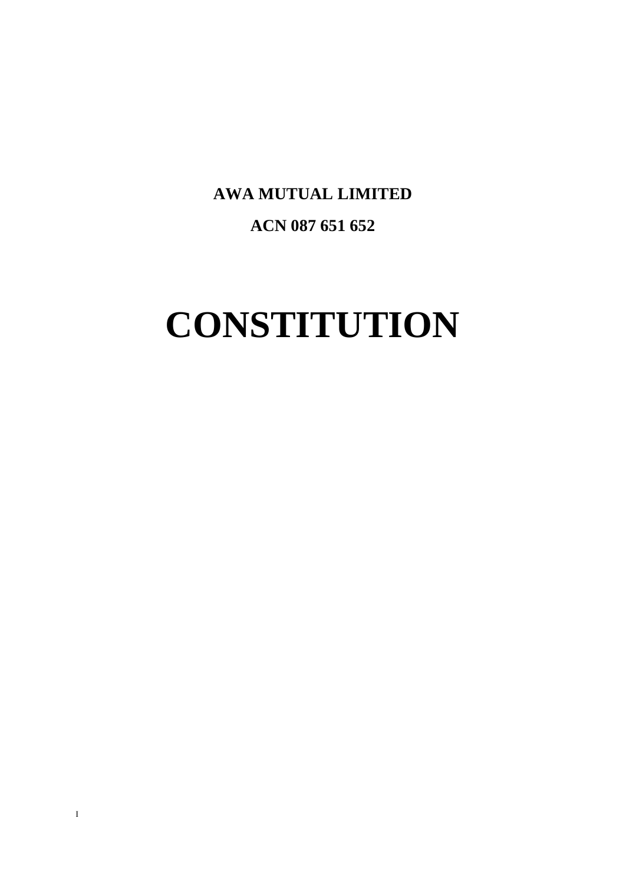**AWA MUTUAL LIMITED ACN 087 651 652**

# **CONSTITUTION**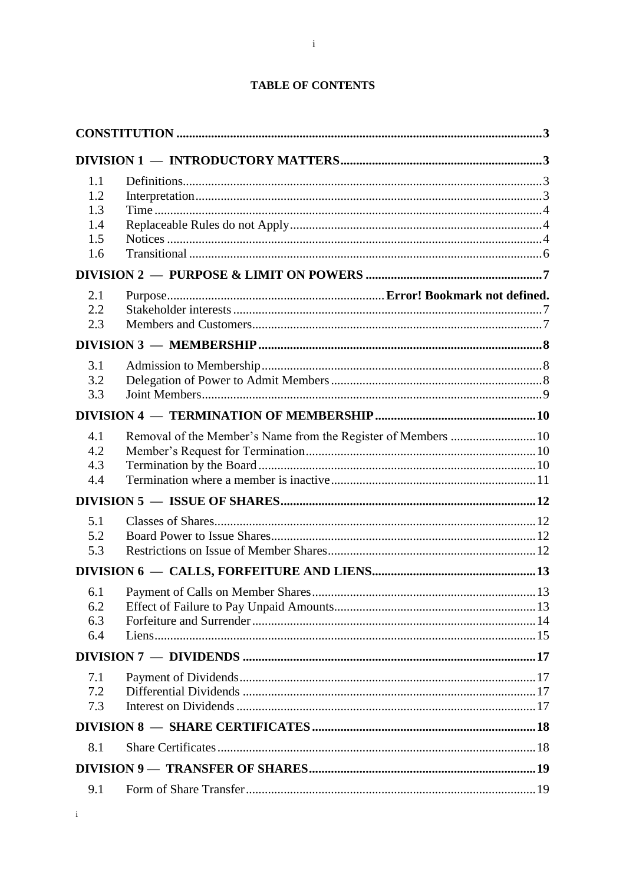| 1.1<br>1.2<br>1.3<br>1.4<br>1.5<br>1.6 |                                                               |  |
|----------------------------------------|---------------------------------------------------------------|--|
|                                        |                                                               |  |
| 2.1<br>2.2<br>2.3                      |                                                               |  |
|                                        |                                                               |  |
| 3.1<br>3.2<br>3.3                      |                                                               |  |
|                                        |                                                               |  |
| 4.1<br>4.2<br>4.3<br>4.4               | Removal of the Member's Name from the Register of Members  10 |  |
|                                        |                                                               |  |
| 5.1<br>5.2<br>5.3                      |                                                               |  |
|                                        |                                                               |  |
| 6.1<br>6.2<br>6.3<br>6.4               |                                                               |  |
|                                        |                                                               |  |
| 7.1<br>7.2<br>7.3                      |                                                               |  |
|                                        |                                                               |  |
| 8.1                                    |                                                               |  |
|                                        |                                                               |  |
| 9.1                                    |                                                               |  |

 $\mathbf{i}$ 

# **TABLE OF CONTENTS**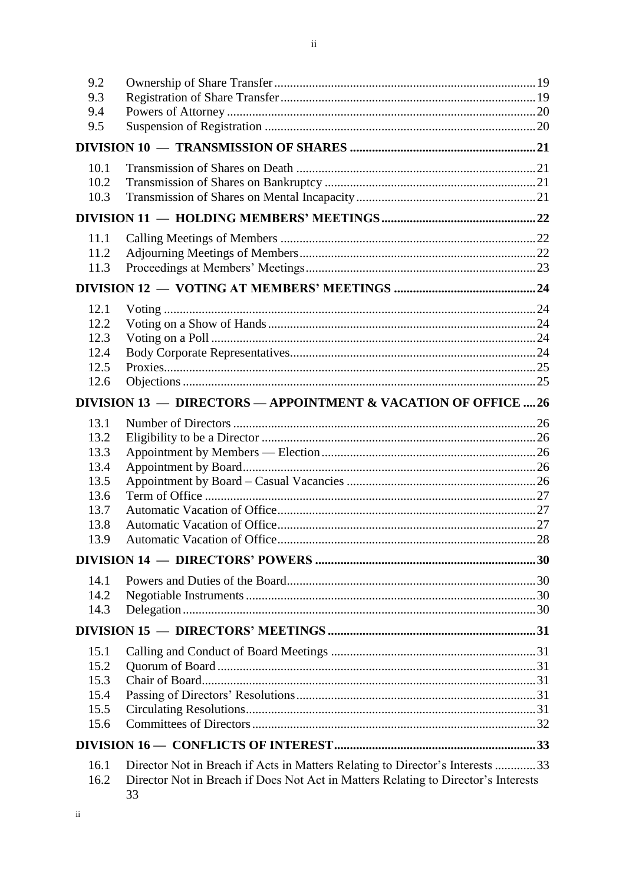| 9.2          |                                                                                                                                                                           |  |  |  |  |
|--------------|---------------------------------------------------------------------------------------------------------------------------------------------------------------------------|--|--|--|--|
| 9.3          |                                                                                                                                                                           |  |  |  |  |
| 9.4          |                                                                                                                                                                           |  |  |  |  |
| 9.5          |                                                                                                                                                                           |  |  |  |  |
|              |                                                                                                                                                                           |  |  |  |  |
| 10.1         |                                                                                                                                                                           |  |  |  |  |
| 10.2         |                                                                                                                                                                           |  |  |  |  |
| 10.3         |                                                                                                                                                                           |  |  |  |  |
|              |                                                                                                                                                                           |  |  |  |  |
| 11.1         |                                                                                                                                                                           |  |  |  |  |
| 11.2         |                                                                                                                                                                           |  |  |  |  |
| 11.3         |                                                                                                                                                                           |  |  |  |  |
|              |                                                                                                                                                                           |  |  |  |  |
| 12.1         |                                                                                                                                                                           |  |  |  |  |
| 12.2         |                                                                                                                                                                           |  |  |  |  |
| 12.3         |                                                                                                                                                                           |  |  |  |  |
| 12.4         |                                                                                                                                                                           |  |  |  |  |
| 12.5<br>12.6 |                                                                                                                                                                           |  |  |  |  |
|              | DIVISION 13 - DIRECTORS - APPOINTMENT & VACATION OF OFFICE  26                                                                                                            |  |  |  |  |
| 13.1         |                                                                                                                                                                           |  |  |  |  |
| 13.2         |                                                                                                                                                                           |  |  |  |  |
| 13.3         |                                                                                                                                                                           |  |  |  |  |
| 13.4         |                                                                                                                                                                           |  |  |  |  |
| 13.5         |                                                                                                                                                                           |  |  |  |  |
| 13.6         |                                                                                                                                                                           |  |  |  |  |
| 13.7         |                                                                                                                                                                           |  |  |  |  |
| 13.8<br>13.9 |                                                                                                                                                                           |  |  |  |  |
|              |                                                                                                                                                                           |  |  |  |  |
|              |                                                                                                                                                                           |  |  |  |  |
| 14.1         |                                                                                                                                                                           |  |  |  |  |
| 14.2         |                                                                                                                                                                           |  |  |  |  |
| 14.3         |                                                                                                                                                                           |  |  |  |  |
|              |                                                                                                                                                                           |  |  |  |  |
| 15.1         |                                                                                                                                                                           |  |  |  |  |
| 15.2         |                                                                                                                                                                           |  |  |  |  |
| 15.3         |                                                                                                                                                                           |  |  |  |  |
| 15.4         |                                                                                                                                                                           |  |  |  |  |
| 15.5<br>15.6 |                                                                                                                                                                           |  |  |  |  |
|              |                                                                                                                                                                           |  |  |  |  |
|              |                                                                                                                                                                           |  |  |  |  |
| 16.1<br>16.2 | Director Not in Breach if Acts in Matters Relating to Director's Interests 33<br>Director Not in Breach if Does Not Act in Matters Relating to Director's Interests<br>33 |  |  |  |  |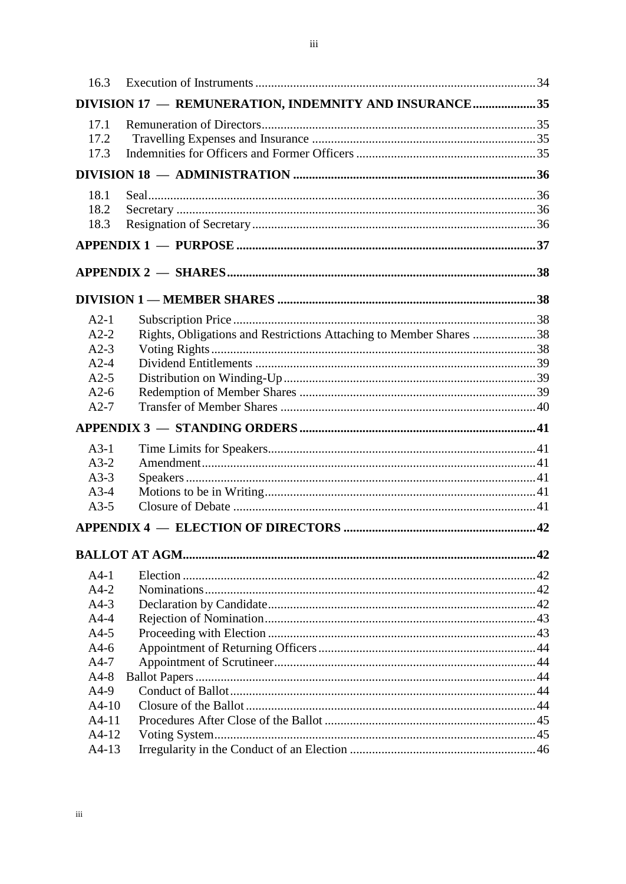| 16.3    |                                                                    |  |
|---------|--------------------------------------------------------------------|--|
|         | DIVISION 17 - REMUNERATION, INDEMNITY AND INSURANCE35              |  |
| 17.1    |                                                                    |  |
| 17.2    |                                                                    |  |
| 17.3    |                                                                    |  |
|         |                                                                    |  |
| 18.1    |                                                                    |  |
| 18.2    |                                                                    |  |
| 18.3    |                                                                    |  |
|         |                                                                    |  |
|         |                                                                    |  |
|         |                                                                    |  |
| $A2-1$  |                                                                    |  |
| $A2-2$  | Rights, Obligations and Restrictions Attaching to Member Shares 38 |  |
| $A2-3$  |                                                                    |  |
| $A2-4$  |                                                                    |  |
| $A2-5$  |                                                                    |  |
| $A2-6$  |                                                                    |  |
| $A2-7$  |                                                                    |  |
|         |                                                                    |  |
| $A3-1$  |                                                                    |  |
| $A3-2$  |                                                                    |  |
| $A3-3$  |                                                                    |  |
| $A3-4$  |                                                                    |  |
| $A3-5$  |                                                                    |  |
|         |                                                                    |  |
|         |                                                                    |  |
| $A4-1$  |                                                                    |  |
| $A4-2$  |                                                                    |  |
| $A4-3$  |                                                                    |  |
| $A4-4$  |                                                                    |  |
| $A4-5$  |                                                                    |  |
| $A4-6$  |                                                                    |  |
| $A4-7$  |                                                                    |  |
| $A4-8$  |                                                                    |  |
| $A4-9$  |                                                                    |  |
| $A4-10$ |                                                                    |  |
| $A4-11$ |                                                                    |  |
| $A4-12$ |                                                                    |  |
| $A4-13$ |                                                                    |  |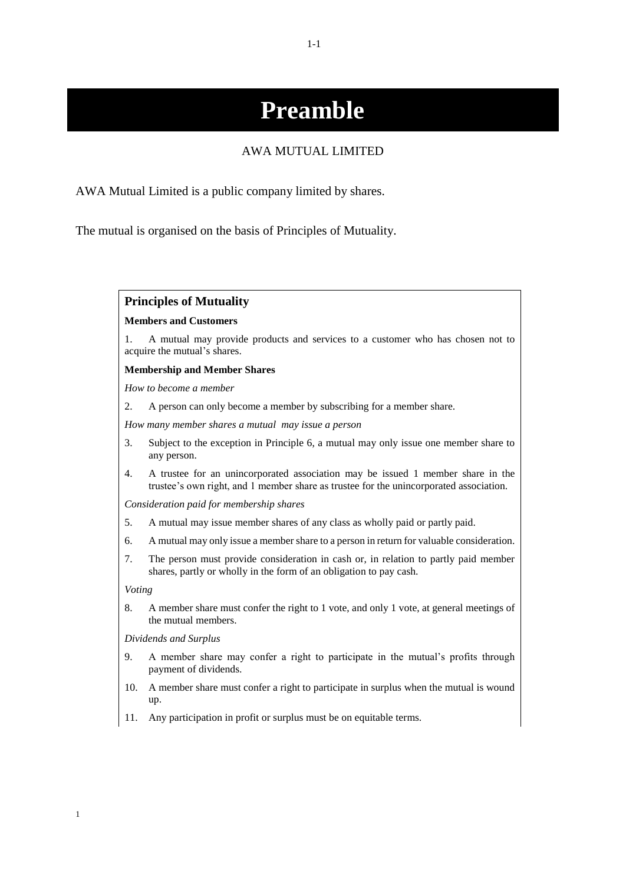# **Preamble**

#### AWA MUTUAL LIMITED

AWA Mutual Limited is a public company limited by shares.

The mutual is organised on the basis of Principles of Mutuality.

#### **Principles of Mutuality**

#### **Members and Customers**

1. A mutual may provide products and services to a customer who has chosen not to acquire the mutual's shares.

#### **Membership and Member Shares**

*How to become a member*

2. A person can only become a member by subscribing for a member share.

*How many member shares a mutual may issue a person*

- 3. Subject to the exception in Principle 6, a mutual may only issue one member share to any person.
- 4. A trustee for an unincorporated association may be issued 1 member share in the trustee's own right, and 1 member share as trustee for the unincorporated association.

*Consideration paid for membership shares*

- 5. A mutual may issue member shares of any class as wholly paid or partly paid.
- 6. A mutual may only issue a member share to a person in return for valuable consideration.
- 7. The person must provide consideration in cash or, in relation to partly paid member shares, partly or wholly in the form of an obligation to pay cash.

*Voting*

1

8. A member share must confer the right to 1 vote, and only 1 vote, at general meetings of the mutual members.

*Dividends and Surplus*

- 9. A member share may confer a right to participate in the mutual's profits through payment of dividends.
- 10. A member share must confer a right to participate in surplus when the mutual is wound up.
- 11. Any participation in profit or surplus must be on equitable terms.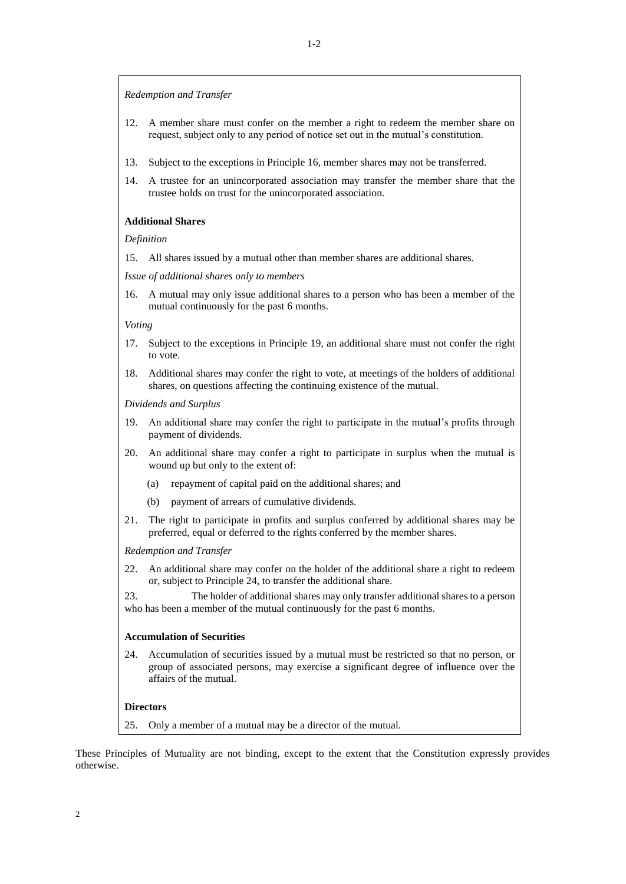*Redemption and Transfer*

- 12. A member share must confer on the member a right to redeem the member share on request, subject only to any period of notice set out in the mutual's constitution.
- 13. Subject to the exceptions in Principle 16, member shares may not be transferred.
- 14. A trustee for an unincorporated association may transfer the member share that the trustee holds on trust for the unincorporated association.

#### **Additional Shares**

#### *Definition*

15. All shares issued by a mutual other than member shares are additional shares.

*Issue of additional shares only to members*

16. A mutual may only issue additional shares to a person who has been a member of the mutual continuously for the past 6 months.

*Voting*

- 17. Subject to the exceptions in Principle 19, an additional share must not confer the right to vote.
- 18. Additional shares may confer the right to vote, at meetings of the holders of additional shares, on questions affecting the continuing existence of the mutual.

*Dividends and Surplus*

- 19. An additional share may confer the right to participate in the mutual's profits through payment of dividends.
- 20. An additional share may confer a right to participate in surplus when the mutual is wound up but only to the extent of:
	- (a) repayment of capital paid on the additional shares; and
	- (b) payment of arrears of cumulative dividends.
- 21. The right to participate in profits and surplus conferred by additional shares may be preferred, equal or deferred to the rights conferred by the member shares.

*Redemption and Transfer*

22. An additional share may confer on the holder of the additional share a right to redeem or, subject to Principle 24, to transfer the additional share.

23. The holder of additional shares may only transfer additional shares to a person who has been a member of the mutual continuously for the past 6 months.

#### **Accumulation of Securities**

24. Accumulation of securities issued by a mutual must be restricted so that no person, or group of associated persons, may exercise a significant degree of influence over the affairs of the mutual.

#### **Directors**

25. Only a member of a mutual may be a director of the mutual.

These Principles of Mutuality are not binding, except to the extent that the Constitution expressly provides otherwise.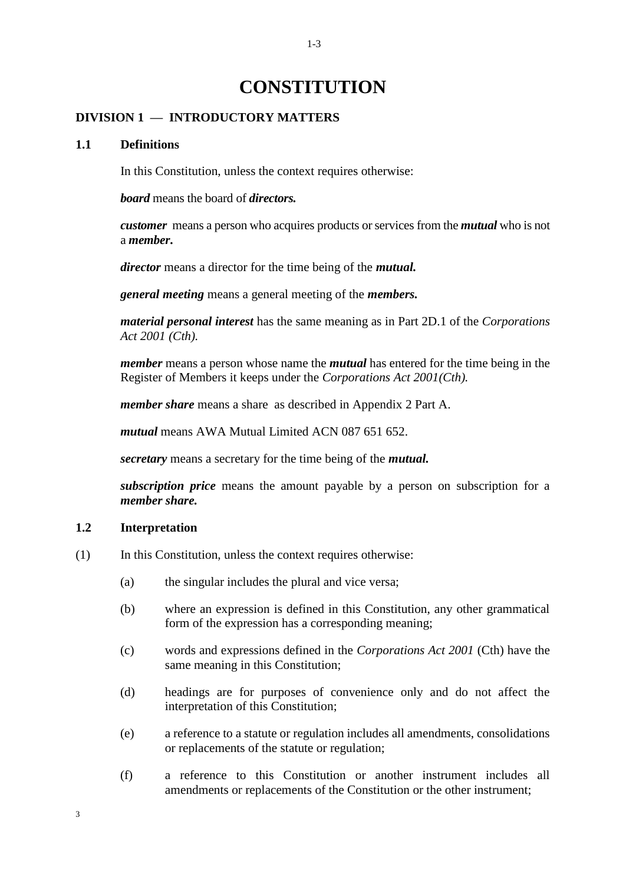# **CONSTITUTION**

#### **DIVISION 1 — INTRODUCTORY MATTERS**

#### **1.1 Definitions**

In this Constitution, unless the context requires otherwise:

*board* means the board of *directors.*

*customer* means a person who acquires products or services from the *mutual* who is not a *member***.**

*director* means a director for the time being of the *mutual.*

*general meeting* means a general meeting of the *members.*

*material personal interest* has the same meaning as in Part 2D.1 of the *Corporations Act 2001 (Cth).*

*member* means a person whose name the *mutual* has entered for the time being in the Register of Members it keeps under the *Corporations Act 2001(Cth).*

*member share* means a share as described in Appendix 2 Part A.

*mutual* means AWA Mutual Limited ACN 087 651 652.

*secretary* means a secretary for the time being of the *mutual.*

*subscription price* means the amount payable by a person on subscription for a *member share.*

#### **1.2 Interpretation**

- (1) In this Constitution, unless the context requires otherwise:
	- (a) the singular includes the plural and vice versa;
	- (b) where an expression is defined in this Constitution, any other grammatical form of the expression has a corresponding meaning;
	- (c) words and expressions defined in the *Corporations Act 2001* (Cth) have the same meaning in this Constitution;
	- (d) headings are for purposes of convenience only and do not affect the interpretation of this Constitution;
	- (e) a reference to a statute or regulation includes all amendments, consolidations or replacements of the statute or regulation;
	- (f) a reference to this Constitution or another instrument includes all amendments or replacements of the Constitution or the other instrument;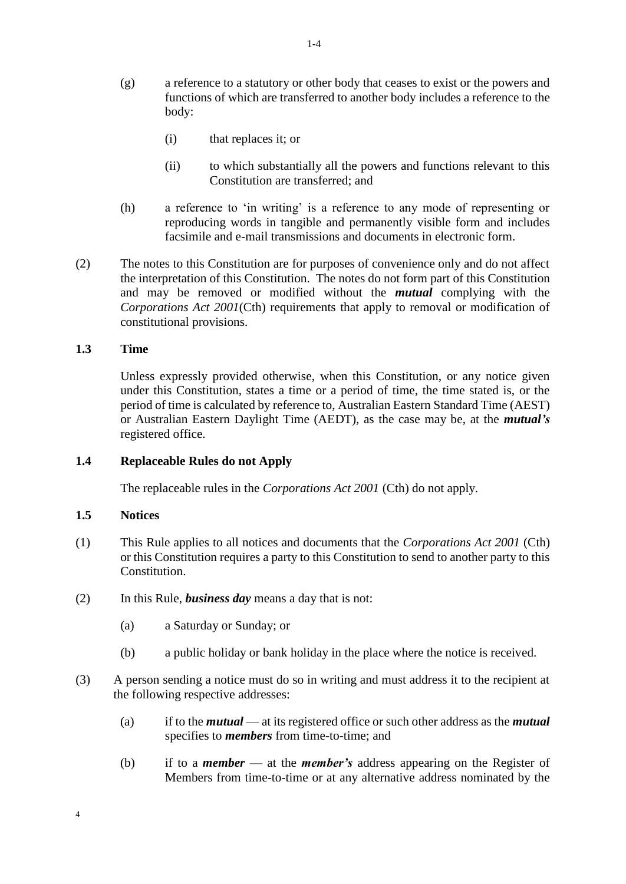- (g) a reference to a statutory or other body that ceases to exist or the powers and functions of which are transferred to another body includes a reference to the body:
	- (i) that replaces it; or
	- (ii) to which substantially all the powers and functions relevant to this Constitution are transferred; and
- (h) a reference to 'in writing' is a reference to any mode of representing or reproducing words in tangible and permanently visible form and includes facsimile and e-mail transmissions and documents in electronic form.
- (2) The notes to this Constitution are for purposes of convenience only and do not affect the interpretation of this Constitution. The notes do not form part of this Constitution and may be removed or modified without the *mutual* complying with the *Corporations Act 2001*(Cth) requirements that apply to removal or modification of constitutional provisions.

#### **1.3 Time**

Unless expressly provided otherwise, when this Constitution, or any notice given under this Constitution, states a time or a period of time, the time stated is, or the period of time is calculated by reference to, Australian Eastern Standard Time (AEST) or Australian Eastern Daylight Time (AEDT), as the case may be, at the *mutual's*  registered office.

#### **1.4 Replaceable Rules do not Apply**

The replaceable rules in the *Corporations Act 2001* (Cth) do not apply.

#### **1.5 Notices**

4

- (1) This Rule applies to all notices and documents that the *Corporations Act 2001* (Cth) or this Constitution requires a party to this Constitution to send to another party to this Constitution.
- (2) In this Rule, *business day* means a day that is not:
	- (a) a Saturday or Sunday; or
	- (b) a public holiday or bank holiday in the place where the notice is received.
- (3) A person sending a notice must do so in writing and must address it to the recipient at the following respective addresses:
	- (a) if to the *mutual* at its registered office or such other address as the *mutual* specifies to *members* from time-to-time; and
	- (b) if to a *member* at the *member's* address appearing on the Register of Members from time-to-time or at any alternative address nominated by the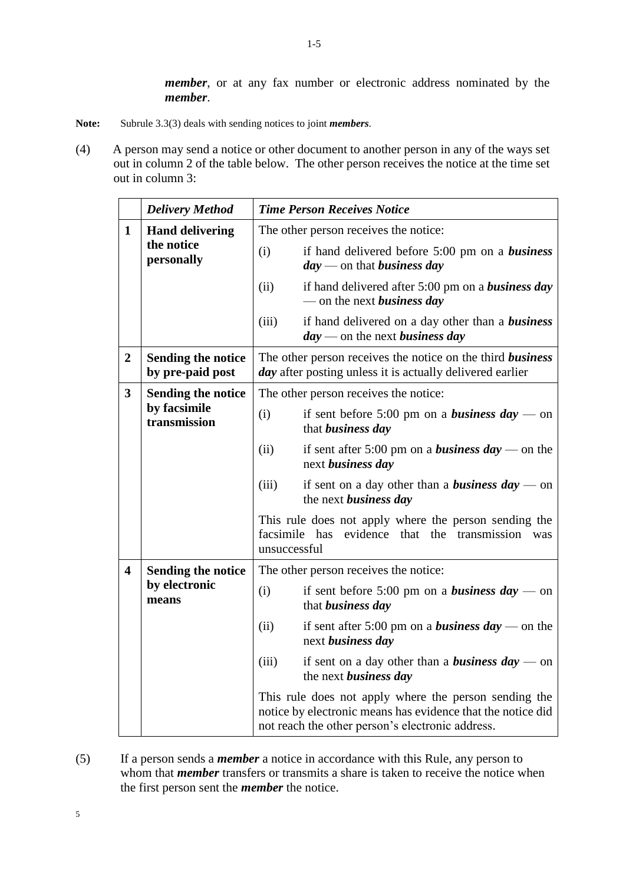*member*, or at any fax number or electronic address nominated by the *member*.

- **Note:** Subrule 3.3(3) deals with sending notices to joint *members*.
- (4) A person may send a notice or other document to another person in any of the ways set out in column 2 of the table below. The other person receives the notice at the time set out in column 3:

|                                                      | <b>Delivery Method</b>                                    | <b>Time Person Receives Notice</b>                                                                                                                                       |  |
|------------------------------------------------------|-----------------------------------------------------------|--------------------------------------------------------------------------------------------------------------------------------------------------------------------------|--|
| $\mathbf{1}$                                         | <b>Hand delivering</b>                                    | The other person receives the notice:                                                                                                                                    |  |
|                                                      | the notice<br>personally                                  | (i)<br>if hand delivered before 5:00 pm on a business<br>$day$ — on that business day                                                                                    |  |
|                                                      |                                                           | (ii)<br>if hand delivered after $5:00 \text{ pm}$ on a <b>business day</b><br>— on the next <i>business day</i>                                                          |  |
|                                                      |                                                           | if hand delivered on a day other than a <b>business</b><br>(iii)<br>$day$ — on the next business day                                                                     |  |
| $\boldsymbol{2}$                                     | <b>Sending the notice</b><br>by pre-paid post             | The other person receives the notice on the third business<br><i>day</i> after posting unless it is actually delivered earlier                                           |  |
| $\overline{\mathbf{3}}$                              | <b>Sending the notice</b><br>by facsimile<br>transmission | The other person receives the notice:                                                                                                                                    |  |
|                                                      |                                                           | (i)<br>if sent before 5:00 pm on a <i>business day</i> — on<br>that business day                                                                                         |  |
|                                                      |                                                           | (ii)<br>if sent after 5:00 pm on a <b>business day</b> — on the<br>next business day                                                                                     |  |
|                                                      |                                                           | (iii)<br>if sent on a day other than a <b>business day</b> — on<br>the next business day                                                                                 |  |
|                                                      |                                                           | This rule does not apply where the person sending the<br>evidence that the<br>facsimile has<br>transmission<br>was<br>unsuccessful                                       |  |
| $\overline{\mathbf{4}}$<br><b>Sending the notice</b> |                                                           | The other person receives the notice:                                                                                                                                    |  |
|                                                      | by electronic<br>means                                    | (i)<br>if sent before 5:00 pm on a <i>business day</i> — on<br>that business day                                                                                         |  |
|                                                      |                                                           | (ii)<br>if sent after 5:00 pm on a <b>business day</b> — on the<br>next business day                                                                                     |  |
|                                                      |                                                           | (iii)<br>if sent on a day other than a <b>business day</b> — on<br>the next <i>business day</i>                                                                          |  |
|                                                      |                                                           | This rule does not apply where the person sending the<br>notice by electronic means has evidence that the notice did<br>not reach the other person's electronic address. |  |

(5) If a person sends a *member* a notice in accordance with this Rule, any person to whom that *member* transfers or transmits a share is taken to receive the notice when the first person sent the *member* the notice.

5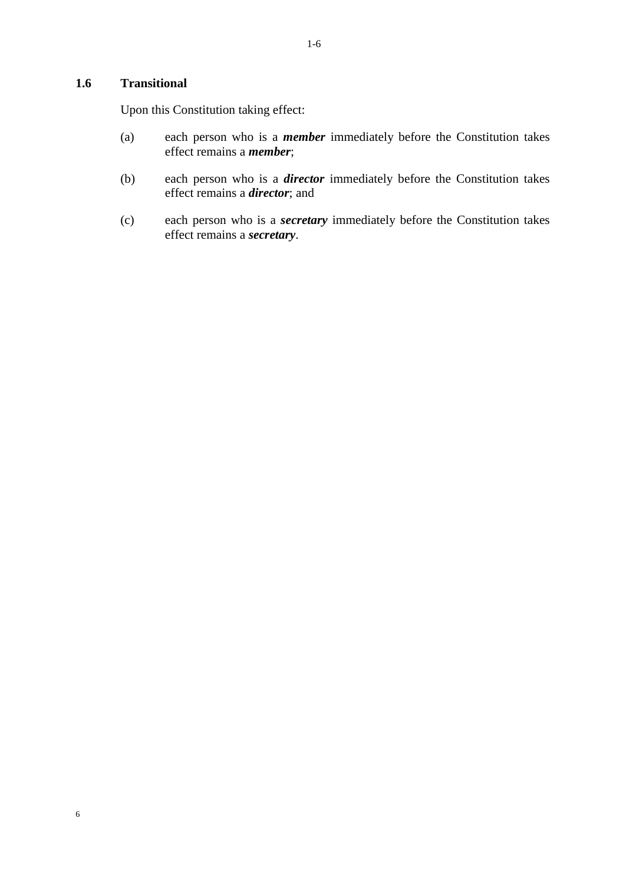# **1.6 Transitional**

Upon this Constitution taking effect:

- (a) each person who is a *member* immediately before the Constitution takes effect remains a *member*;
- (b) each person who is a *director* immediately before the Constitution takes effect remains a *director*; and
- (c) each person who is a *secretary* immediately before the Constitution takes effect remains a *secretary*.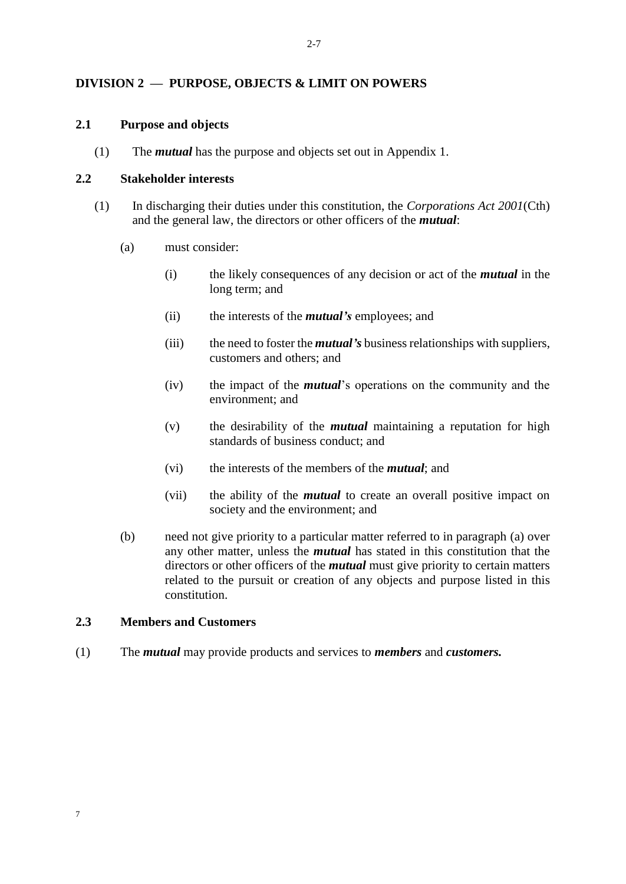# **DIVISION 2 — PURPOSE, OBJECTS & LIMIT ON POWERS**

#### **2.1 Purpose and objects**

(1) The *mutual* has the purpose and objects set out in Appendix 1.

#### **2.2 Stakeholder interests**

- <span id="page-10-0"></span>(1) In discharging their duties under this constitution, the *Corporations Act 2001*(Cth) and the general law, the directors or other officers of the *mutual*:
	- (a) must consider:
		- (i) the likely consequences of any decision or act of the *mutual* in the long term; and
		- (ii) the interests of the *mutual's* employees; and
		- (iii) the need to foster the *mutual's* business relationships with suppliers, customers and others; and
		- (iv) the impact of the *mutual*'s operations on the community and the environment; and
		- (v) the desirability of the *mutual* maintaining a reputation for high standards of business conduct; and
		- (vi) the interests of the members of the *mutual*; and
		- (vii) the ability of the *mutual* to create an overall positive impact on society and the environment; and
	- (b) need not give priority to a particular matter referred to in paragraph [\(a\)](#page-10-0) over any other matter, unless the *mutual* has stated in this constitution that the directors or other officers of the *mutual* must give priority to certain matters related to the pursuit or creation of any objects and purpose listed in this constitution.

# **2.3 Members and Customers**

7

(1) The *mutual* may provide products and services to *members* and *customers.*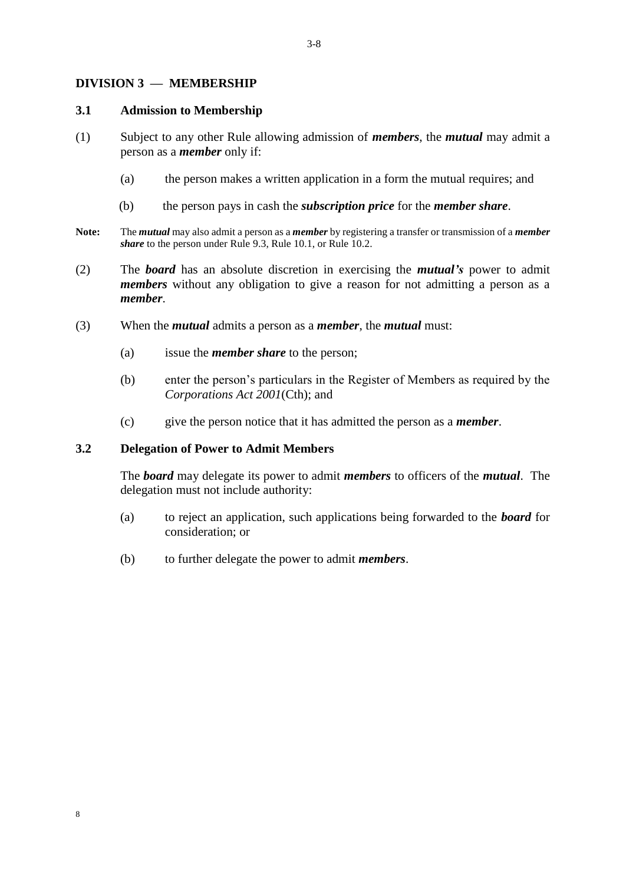#### **DIVISION 3 — MEMBERSHIP**

#### **3.1 Admission to Membership**

- (1) Subject to any other Rule allowing admission of *members*, the *mutual* may admit a person as a *member* only if:
	- (a) the person makes a written application in a form the mutual requires; and
	- (b) the person pays in cash the *subscription price* for the *member share*.
- **Note:** The *mutual* may also admit a person as a *member* by registering a transfer or transmission of a *member share* to the person under Rule 9.3, Rule 10.1, or Rule 10.2.
- (2) The *board* has an absolute discretion in exercising the *mutual's* power to admit *members* without any obligation to give a reason for not admitting a person as a *member*.
- (3) When the *mutual* admits a person as a *member*, the *mutual* must:
	- (a) issue the *member share* to the person;
	- (b) enter the person's particulars in the Register of Members as required by the *Corporations Act 2001*(Cth); and
	- (c) give the person notice that it has admitted the person as a *member*.

#### **3.2 Delegation of Power to Admit Members**

The *board* may delegate its power to admit *members* to officers of the *mutual*. The delegation must not include authority:

- (a) to reject an application, such applications being forwarded to the *board* for consideration; or
- (b) to further delegate the power to admit *members*.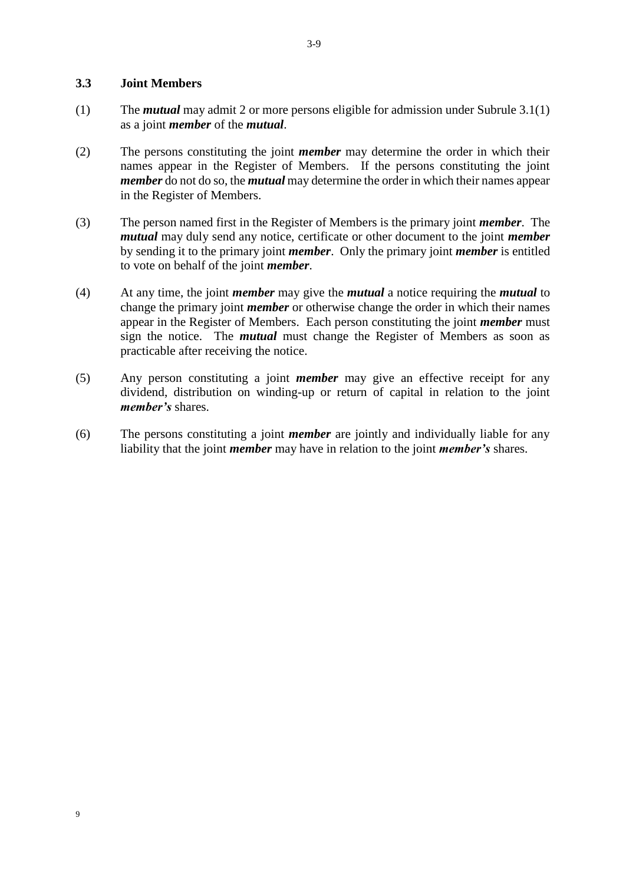#### **3.3 Joint Members**

9

- (1) The *mutual* may admit 2 or more persons eligible for admission under Subrule 3.1(1) as a joint *member* of the *mutual*.
- (2) The persons constituting the joint *member* may determine the order in which their names appear in the Register of Members. If the persons constituting the joint *member* do not do so, the *mutual* may determine the order in which their names appear in the Register of Members.
- (3) The person named first in the Register of Members is the primary joint *member*. The *mutual* may duly send any notice, certificate or other document to the joint *member* by sending it to the primary joint *member*. Only the primary joint *member* is entitled to vote on behalf of the joint *member*.
- (4) At any time, the joint *member* may give the *mutual* a notice requiring the *mutual* to change the primary joint *member* or otherwise change the order in which their names appear in the Register of Members. Each person constituting the joint *member* must sign the notice. The *mutual* must change the Register of Members as soon as practicable after receiving the notice.
- (5) Any person constituting a joint *member* may give an effective receipt for any dividend, distribution on winding-up or return of capital in relation to the joint *member's* shares.
- (6) The persons constituting a joint *member* are jointly and individually liable for any liability that the joint *member* may have in relation to the joint *member's* shares.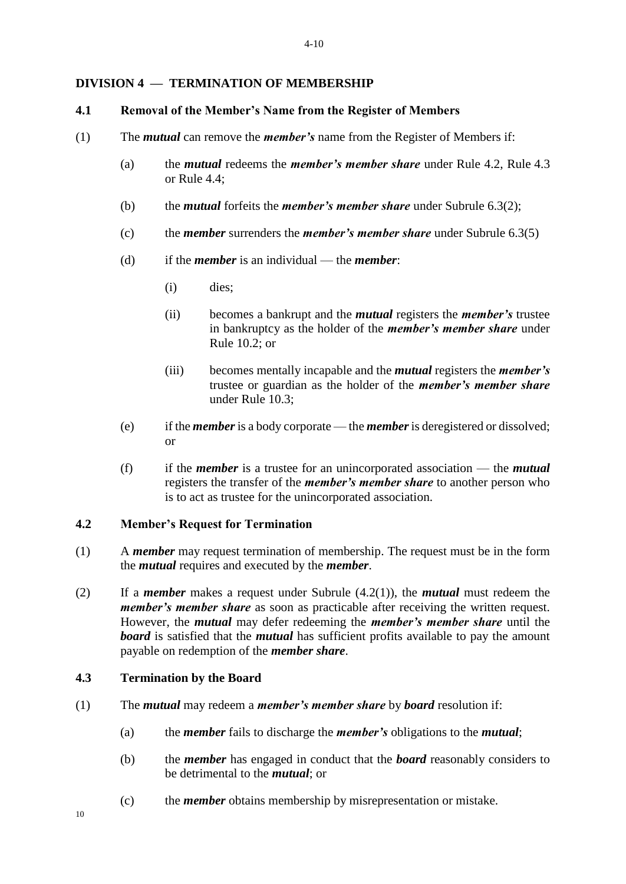#### **DIVISION 4 — TERMINATION OF MEMBERSHIP**

#### **4.1 Removal of the Member's Name from the Register of Members**

- (1) The *mutual* can remove the *member's* name from the Register of Members if:
	- (a) the *mutual* redeems the *member's member share* under Rule 4.2, Rule 4.3 or Rule 4.4;
	- (b) the *mutual* forfeits the *member's member share* under Subrule 6.3(2);
	- (c) the *member* surrenders the *member's member share* under Subrule 6.3(5)
	- (d) if the *member* is an individual the *member*:
		- (i) dies;
		- (ii) becomes a bankrupt and the *mutual* registers the *member's* trustee in bankruptcy as the holder of the *member's member share* under Rule 10.2; or
		- (iii) becomes mentally incapable and the *mutual* registers the *member's*  trustee or guardian as the holder of the *member's member share* under Rule 10.3;
	- (e) if the *member* is a body corporate the *member* is deregistered or dissolved; or
	- (f) if the *member* is a trustee for an unincorporated association the *mutual* registers the transfer of the *member's member share* to another person who is to act as trustee for the unincorporated association.

#### **4.2 Member's Request for Termination**

- (1) A *member* may request termination of membership. The request must be in the form the *mutual* requires and executed by the *member*.
- (2) If a *member* makes a request under Subrule (4.2(1)), the *mutual* must redeem the *member's member share* as soon as practicable after receiving the written request. However, the *mutual* may defer redeeming the *member's member share* until the *board* is satisfied that the *mutual* has sufficient profits available to pay the amount payable on redemption of the *member share*.

#### **4.3 Termination by the Board**

- (1) The *mutual* may redeem a *member's member share* by *board* resolution if:
	- (a) the *member* fails to discharge the *member's* obligations to the *mutual*;
	- (b) the *member* has engaged in conduct that the *board* reasonably considers to be detrimental to the *mutual*; or
	- (c) the *member* obtains membership by misrepresentation or mistake.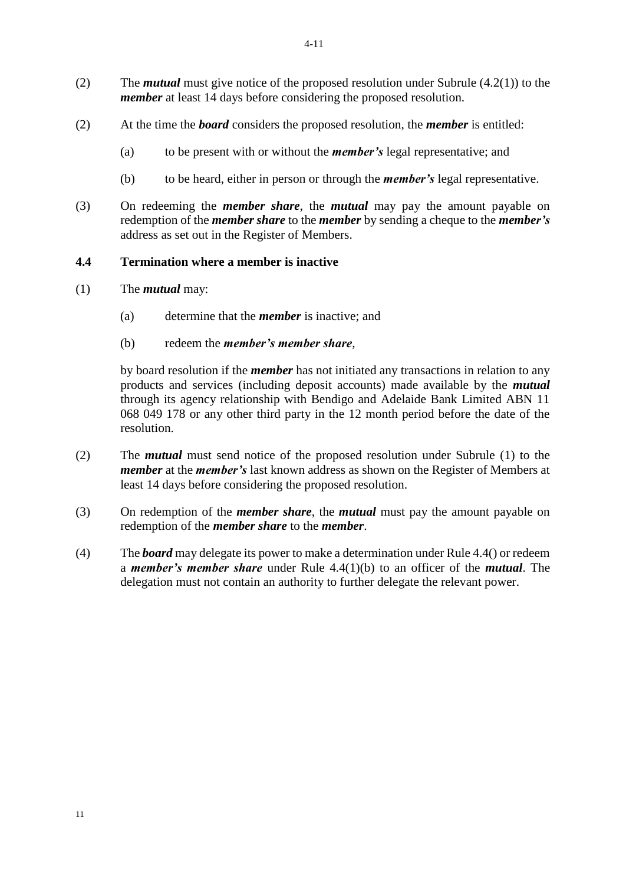- (2) The *mutual* must give notice of the proposed resolution under Subrule (4.2(1)) to the *member* at least 14 days before considering the proposed resolution.
- (2) At the time the *board* considers the proposed resolution, the *member* is entitled:
	- (a) to be present with or without the *member's* legal representative; and
	- (b) to be heard, either in person or through the *member's* legal representative.
- (3) On redeeming the *member share*, the *mutual* may pay the amount payable on redemption of the *member share* to the *member* by sending a cheque to the *member's*  address as set out in the Register of Members.

#### **4.4 Termination where a member is inactive**

- (1) The *mutual* may:
	- (a) determine that the *member* is inactive; and
	- (b) redeem the *member's member share*,

by board resolution if the *member* has not initiated any transactions in relation to any products and services (including deposit accounts) made available by the *mutual*  through its agency relationship with Bendigo and Adelaide Bank Limited ABN 11 068 049 178 or any other third party in the 12 month period before the date of the resolution.

- (2) The *mutual* must send notice of the proposed resolution under Subrule (1) to the *member* at the *member's* last known address as shown on the Register of Members at least 14 days before considering the proposed resolution.
- (3) On redemption of the *member share*, the *mutual* must pay the amount payable on redemption of the *member share* to the *member*.
- (4) The *board* may delegate its power to make a determination under Rule 4.4() or redeem a *member's member share* under Rule 4.4(1)(b) to an officer of the *mutual*. The delegation must not contain an authority to further delegate the relevant power.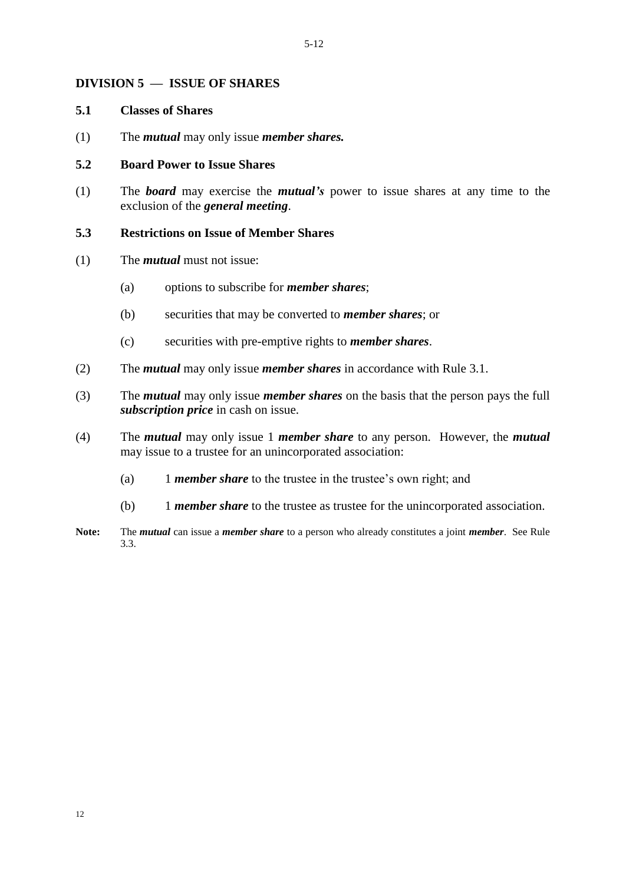#### **DIVISION 5 — ISSUE OF SHARES**

#### **5.1 Classes of Shares**

(1) The *mutual* may only issue *member shares.*

#### **5.2 Board Power to Issue Shares**

(1) The *board* may exercise the *mutual's* power to issue shares at any time to the exclusion of the *general meeting*.

#### **5.3 Restrictions on Issue of Member Shares**

- (1) The *mutual* must not issue:
	- (a) options to subscribe for *member shares*;
	- (b) securities that may be converted to *member shares*; or
	- (c) securities with pre-emptive rights to *member shares*.
- (2) The *mutual* may only issue *member shares* in accordance with Rule 3.1.
- (3) The *mutual* may only issue *member shares* on the basis that the person pays the full *subscription price* in cash on issue.
- (4) The *mutual* may only issue 1 *member share* to any person. However, the *mutual* may issue to a trustee for an unincorporated association:
	- (a) 1 *member share* to the trustee in the trustee's own right; and
	- (b) 1 *member share* to the trustee as trustee for the unincorporated association.
- **Note:** The *mutual* can issue a *member share* to a person who already constitutes a joint *member*. See Rule 3.3.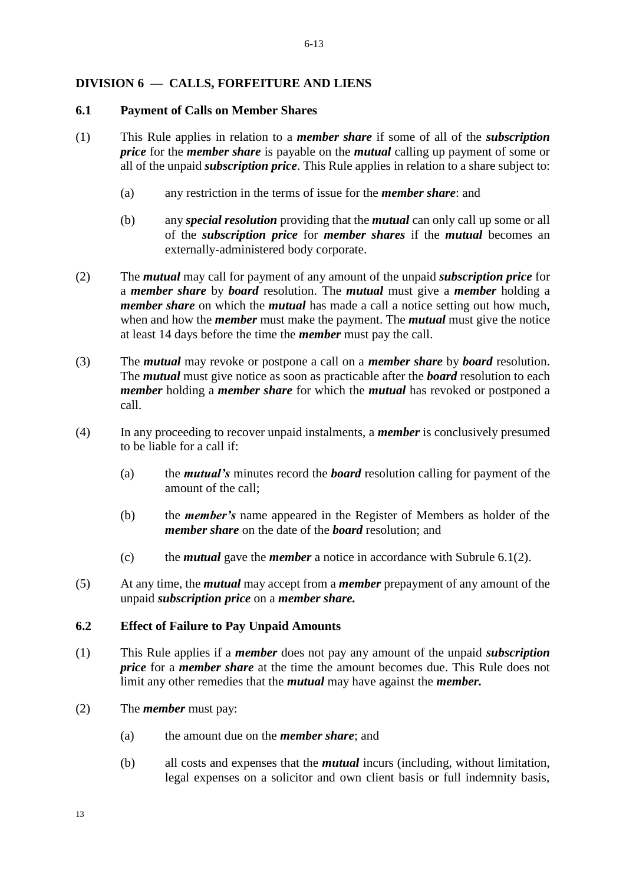# **DIVISION 6 — CALLS, FORFEITURE AND LIENS**

#### **6.1 Payment of Calls on Member Shares**

- (1) This Rule applies in relation to a *member share* if some of all of the *subscription price* for the *member share* is payable on the *mutual* calling up payment of some or all of the unpaid *subscription price*. This Rule applies in relation to a share subject to:
	- (a) any restriction in the terms of issue for the *member share*: and
	- (b) any *special resolution* providing that the *mutual* can only call up some or all of the *subscription price* for *member shares* if the *mutual* becomes an externally-administered body corporate.
- (2) The *mutual* may call for payment of any amount of the unpaid *subscription price* for a *member share* by *board* resolution. The *mutual* must give a *member* holding a *member share* on which the *mutual* has made a call a notice setting out how much, when and how the *member* must make the payment. The *mutual* must give the notice at least 14 days before the time the *member* must pay the call.
- (3) The *mutual* may revoke or postpone a call on a *member share* by *board* resolution. The *mutual* must give notice as soon as practicable after the *board* resolution to each *member* holding a *member share* for which the *mutual* has revoked or postponed a call.
- (4) In any proceeding to recover unpaid instalments, a *member* is conclusively presumed to be liable for a call if:
	- (a) the *mutual's* minutes record the *board* resolution calling for payment of the amount of the call;
	- (b) the *member's* name appeared in the Register of Members as holder of the *member share* on the date of the *board* resolution; and
	- (c) the *mutual* gave the *member* a notice in accordance with Subrule 6.1(2).
- (5) At any time, the *mutual* may accept from a *member* prepayment of any amount of the unpaid *subscription price* on a *member share.*

#### **6.2 Effect of Failure to Pay Unpaid Amounts**

- (1) This Rule applies if a *member* does not pay any amount of the unpaid *subscription price* for a *member share* at the time the amount becomes due. This Rule does not limit any other remedies that the *mutual* may have against the *member.*
- (2) The *member* must pay:
	- (a) the amount due on the *member share*; and
	- (b) all costs and expenses that the *mutual* incurs (including, without limitation, legal expenses on a solicitor and own client basis or full indemnity basis,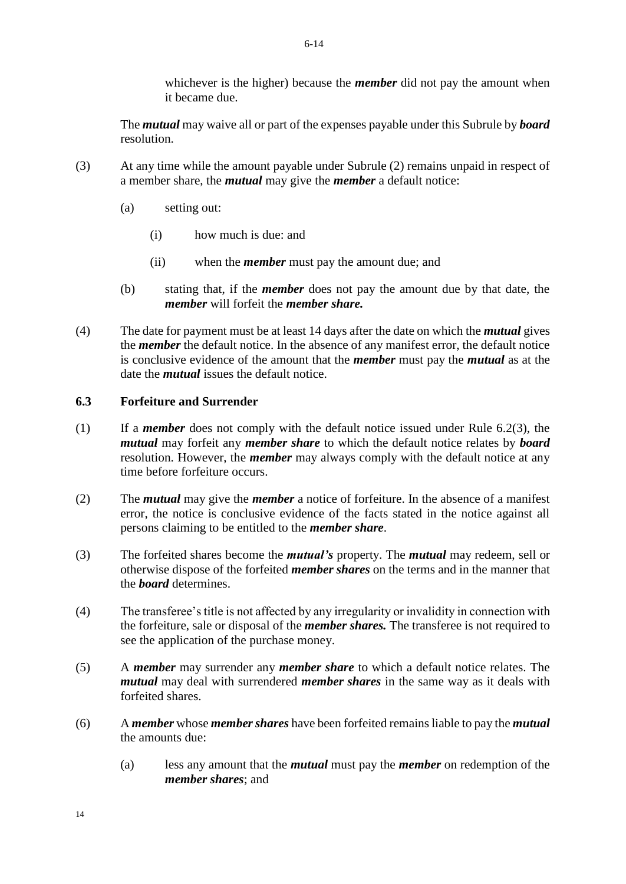whichever is the higher) because the *member* did not pay the amount when it became due.

The *mutual* may waive all or part of the expenses payable under this Subrule by *board* resolution.

- (3) At any time while the amount payable under Subrule (2) remains unpaid in respect of a member share, the *mutual* may give the *member* a default notice:
	- (a) setting out:
		- (i) how much is due: and
		- (ii) when the *member* must pay the amount due; and
	- (b) stating that, if the *member* does not pay the amount due by that date, the *member* will forfeit the *member share.*
- (4) The date for payment must be at least 14 days after the date on which the *mutual* gives the *member* the default notice. In the absence of any manifest error, the default notice is conclusive evidence of the amount that the *member* must pay the *mutual* as at the date the *mutual* issues the default notice.

#### **6.3 Forfeiture and Surrender**

- (1) If a *member* does not comply with the default notice issued under Rule 6.2(3), the *mutual* may forfeit any *member share* to which the default notice relates by *board*  resolution. However, the *member* may always comply with the default notice at any time before forfeiture occurs.
- (2) The *mutual* may give the *member* a notice of forfeiture. In the absence of a manifest error, the notice is conclusive evidence of the facts stated in the notice against all persons claiming to be entitled to the *member share*.
- (3) The forfeited shares become the *mutual's* property. The *mutual* may redeem, sell or otherwise dispose of the forfeited *member shares* on the terms and in the manner that the *board* determines.
- (4) The transferee's title is not affected by any irregularity or invalidity in connection with the forfeiture, sale or disposal of the *member shares.* The transferee is not required to see the application of the purchase money.
- (5) A *member* may surrender any *member share* to which a default notice relates. The *mutual* may deal with surrendered *member shares* in the same way as it deals with forfeited shares.
- (6) A *member* whose *member shares* have been forfeited remains liable to pay the *mutual*  the amounts due:
	- (a) less any amount that the *mutual* must pay the *member* on redemption of the *member shares*; and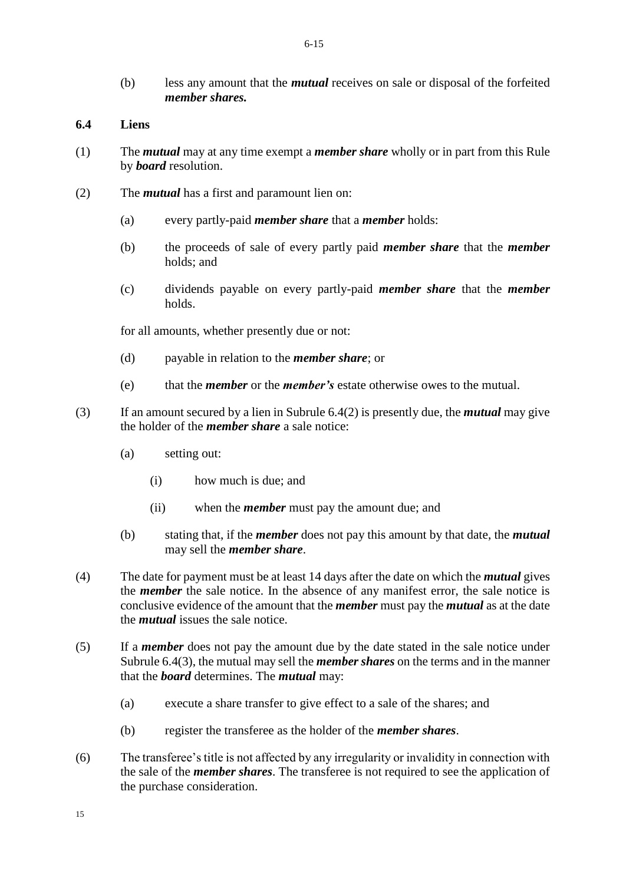(b) less any amount that the *mutual* receives on sale or disposal of the forfeited *member shares.* 

#### **6.4 Liens**

- (1) The *mutual* may at any time exempt a *member share* wholly or in part from this Rule by *board* resolution.
- (2) The *mutual* has a first and paramount lien on:
	- (a) every partly-paid *member share* that a *member* holds:
	- (b) the proceeds of sale of every partly paid *member share* that the *member* holds; and
	- (c) dividends payable on every partly-paid *member share* that the *member* holds.

for all amounts, whether presently due or not:

- (d) payable in relation to the *member share*; or
- (e) that the *member* or the *member's* estate otherwise owes to the mutual.
- (3) If an amount secured by a lien in Subrule 6.4(2) is presently due, the *mutual* may give the holder of the *member share* a sale notice:
	- (a) setting out:
		- (i) how much is due; and
		- (ii) when the *member* must pay the amount due; and
	- (b) stating that, if the *member* does not pay this amount by that date, the *mutual*  may sell the *member share*.
- (4) The date for payment must be at least 14 days after the date on which the *mutual* gives the *member* the sale notice. In the absence of any manifest error, the sale notice is conclusive evidence of the amount that the *member* must pay the *mutual* as at the date the *mutual* issues the sale notice.
- (5) If a *member* does not pay the amount due by the date stated in the sale notice under Subrule 6.4(3), the mutual may sell the *member shares* on the terms and in the manner that the *board* determines. The *mutual* may:
	- (a) execute a share transfer to give effect to a sale of the shares; and
	- (b) register the transferee as the holder of the *member shares*.
- (6) The transferee's title is not affected by any irregularity or invalidity in connection with the sale of the *member shares*. The transferee is not required to see the application of the purchase consideration.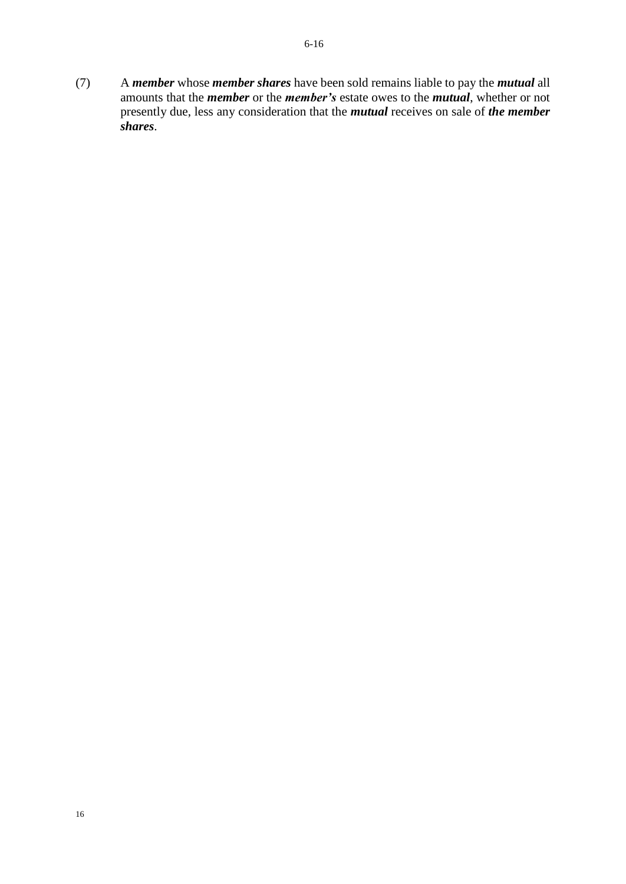(7) A *member* whose *member shares* have been sold remains liable to pay the *mutual* all amounts that the *member* or the *member's* estate owes to the *mutual*, whether or not presently due, less any consideration that the *mutual* receives on sale of *the member shares*.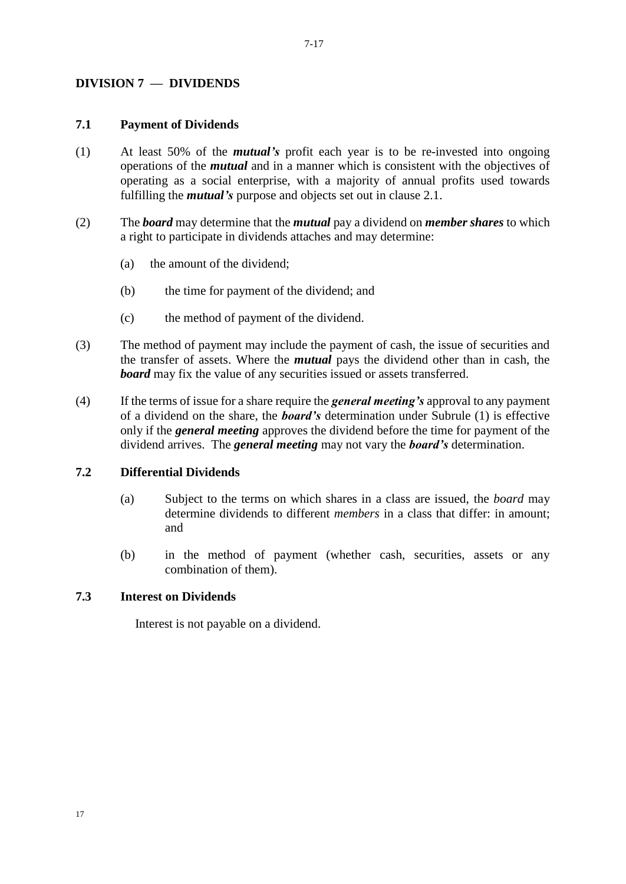# **DIVISION 7 — DIVIDENDS**

#### **7.1 Payment of Dividends**

- (1) At least 50% of the *mutual's* profit each year is to be re-invested into ongoing operations of the *mutual* and in a manner which is consistent with the objectives of operating as a social enterprise, with a majority of annual profits used towards fulfilling the *mutual's* purpose and objects set out in clause 2.1.
- (2) The *board* may determine that the *mutual* pay a dividend on *member shares* to which a right to participate in dividends attaches and may determine:
	- (a) the amount of the dividend;
	- (b) the time for payment of the dividend; and
	- (c) the method of payment of the dividend.
- (3) The method of payment may include the payment of cash, the issue of securities and the transfer of assets. Where the *mutual* pays the dividend other than in cash, the *board* may fix the value of any securities issued or assets transferred.
- (4) If the terms of issue for a share require the *general meeting's* approval to any payment of a dividend on the share, the *board's* determination under Subrule (1) is effective only if the *general meeting* approves the dividend before the time for payment of the dividend arrives. The *general meeting* may not vary the *board's* determination.

#### **7.2 Differential Dividends**

- (a) Subject to the terms on which shares in a class are issued, the *board* may determine dividends to different *members* in a class that differ: in amount; and
- (b) in the method of payment (whether cash, securities, assets or any combination of them).

#### **7.3 Interest on Dividends**

Interest is not payable on a dividend.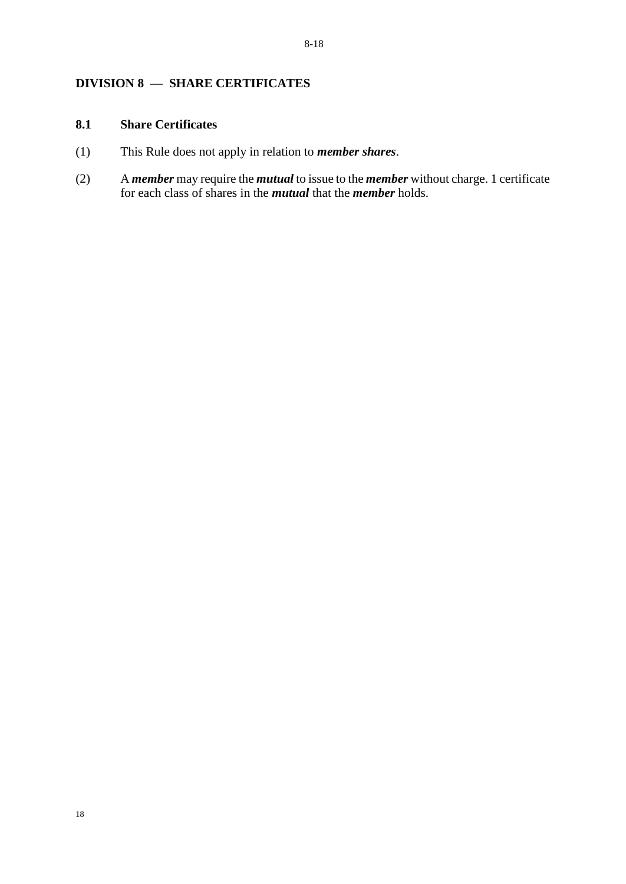# **DIVISION 8 — SHARE CERTIFICATES**

# **8.1 Share Certificates**

- (1) This Rule does not apply in relation to *member shares*.
- (2) A *member* may require the *mutual* to issue to the *member* without charge. 1 certificate for each class of shares in the *mutual* that the *member* holds.

18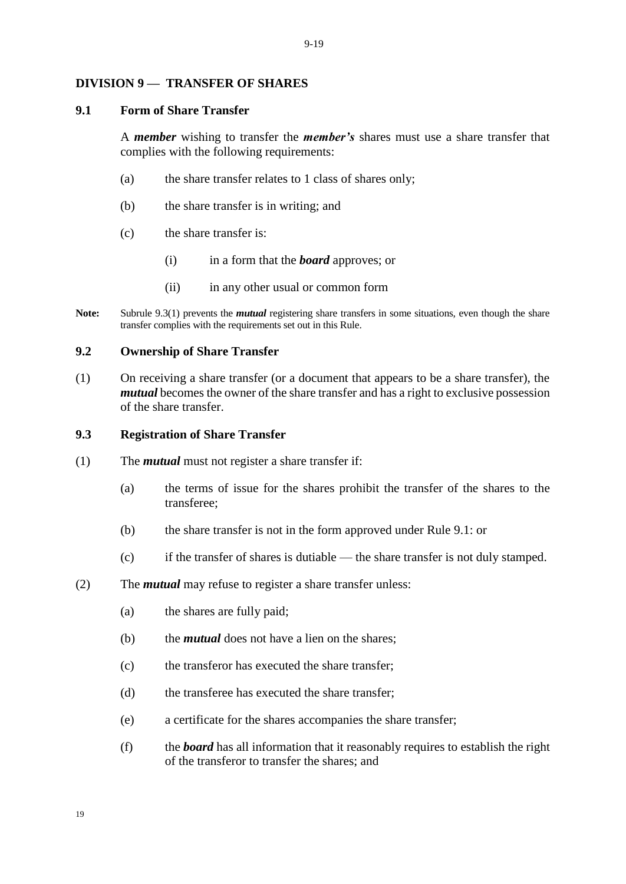#### **DIVISION 9 — TRANSFER OF SHARES**

#### **9.1 Form of Share Transfer**

A *member* wishing to transfer the *member's* shares must use a share transfer that complies with the following requirements:

- (a) the share transfer relates to 1 class of shares only;
- (b) the share transfer is in writing; and
- (c) the share transfer is:
	- (i) in a form that the *board* approves; or
	- (ii) in any other usual or common form
- **Note:** Subrule 9.3(1) prevents the *mutual* registering share transfers in some situations, even though the share transfer complies with the requirements set out in this Rule.

#### **9.2 Ownership of Share Transfer**

(1) On receiving a share transfer (or a document that appears to be a share transfer), the *mutual* becomes the owner of the share transfer and has a right to exclusive possession of the share transfer.

#### **9.3 Registration of Share Transfer**

- (1) The *mutual* must not register a share transfer if:
	- (a) the terms of issue for the shares prohibit the transfer of the shares to the transferee;
	- (b) the share transfer is not in the form approved under Rule 9.1: or
	- (c) if the transfer of shares is dutiable the share transfer is not duly stamped.
- (2) The *mutual* may refuse to register a share transfer unless:
	- (a) the shares are fully paid;
	- (b) the *mutual* does not have a lien on the shares;
	- (c) the transferor has executed the share transfer;
	- (d) the transferee has executed the share transfer;
	- (e) a certificate for the shares accompanies the share transfer;
	- (f) the *board* has all information that it reasonably requires to establish the right of the transferor to transfer the shares; and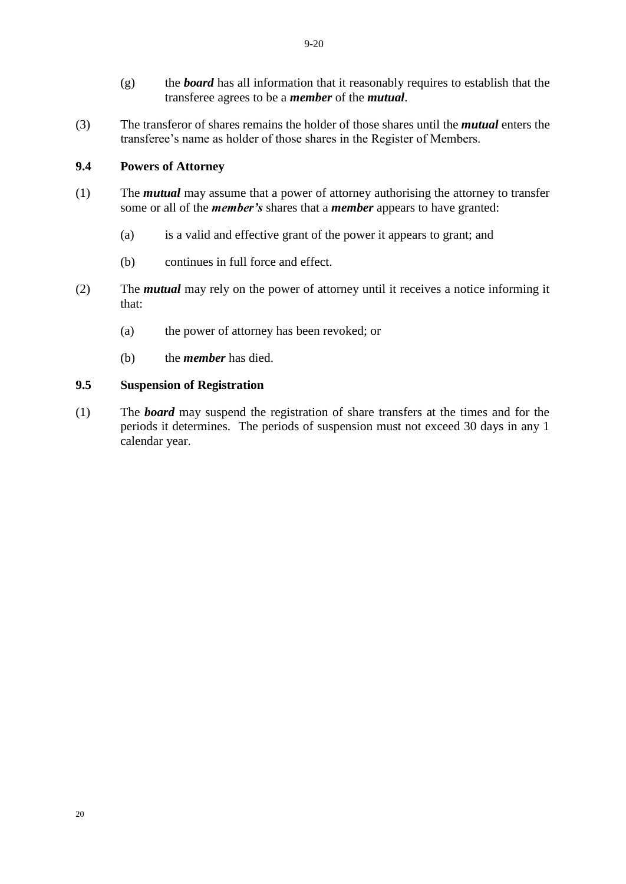- (g) the *board* has all information that it reasonably requires to establish that the transferee agrees to be a *member* of the *mutual*.
- (3) The transferor of shares remains the holder of those shares until the *mutual* enters the transferee's name as holder of those shares in the Register of Members.

#### **9.4 Powers of Attorney**

- (1) The *mutual* may assume that a power of attorney authorising the attorney to transfer some or all of the *member's* shares that a *member* appears to have granted:
	- (a) is a valid and effective grant of the power it appears to grant; and
	- (b) continues in full force and effect.
- (2) The *mutual* may rely on the power of attorney until it receives a notice informing it that:
	- (a) the power of attorney has been revoked; or
	- (b) the *member* has died.

#### **9.5 Suspension of Registration**

(1) The *board* may suspend the registration of share transfers at the times and for the periods it determines. The periods of suspension must not exceed 30 days in any 1 calendar year.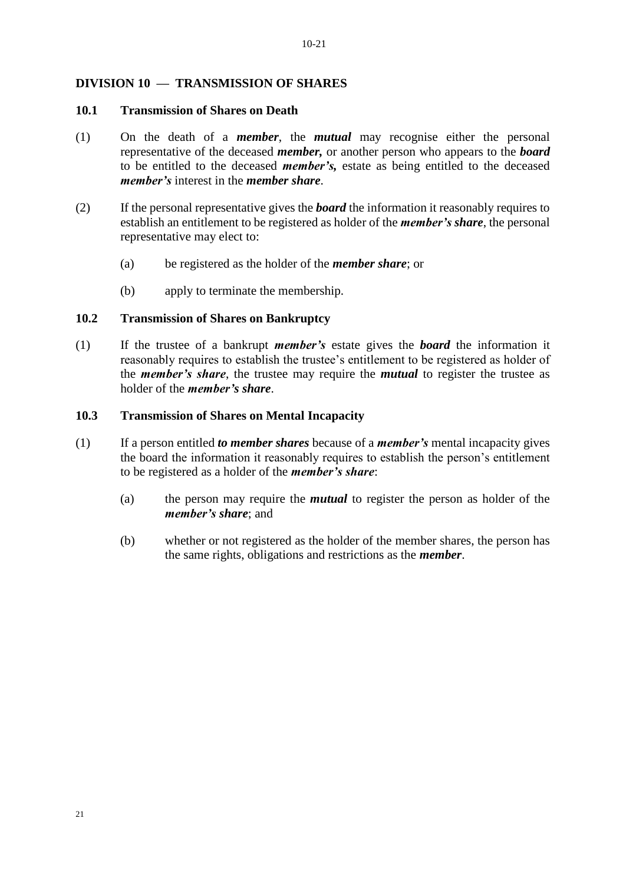#### **DIVISION 10 — TRANSMISSION OF SHARES**

#### **10.1 Transmission of Shares on Death**

- (1) On the death of a *member*, the *mutual* may recognise either the personal representative of the deceased *member,* or another person who appears to the *board*  to be entitled to the deceased *member's,* estate as being entitled to the deceased *member's* interest in the *member share*.
- (2) If the personal representative gives the *board* the information it reasonably requires to establish an entitlement to be registered as holder of the *member's share*, the personal representative may elect to:
	- (a) be registered as the holder of the *member share*; or
	- (b) apply to terminate the membership.

#### **10.2 Transmission of Shares on Bankruptcy**

(1) If the trustee of a bankrupt *member's* estate gives the *board* the information it reasonably requires to establish the trustee's entitlement to be registered as holder of the *member's share*, the trustee may require the *mutual* to register the trustee as holder of the *member's share*.

#### **10.3 Transmission of Shares on Mental Incapacity**

- (1) If a person entitled *to member shares* because of a *member's* mental incapacity gives the board the information it reasonably requires to establish the person's entitlement to be registered as a holder of the *member's share*:
	- (a) the person may require the *mutual* to register the person as holder of the *member's share*; and
	- (b) whether or not registered as the holder of the member shares, the person has the same rights, obligations and restrictions as the *member*.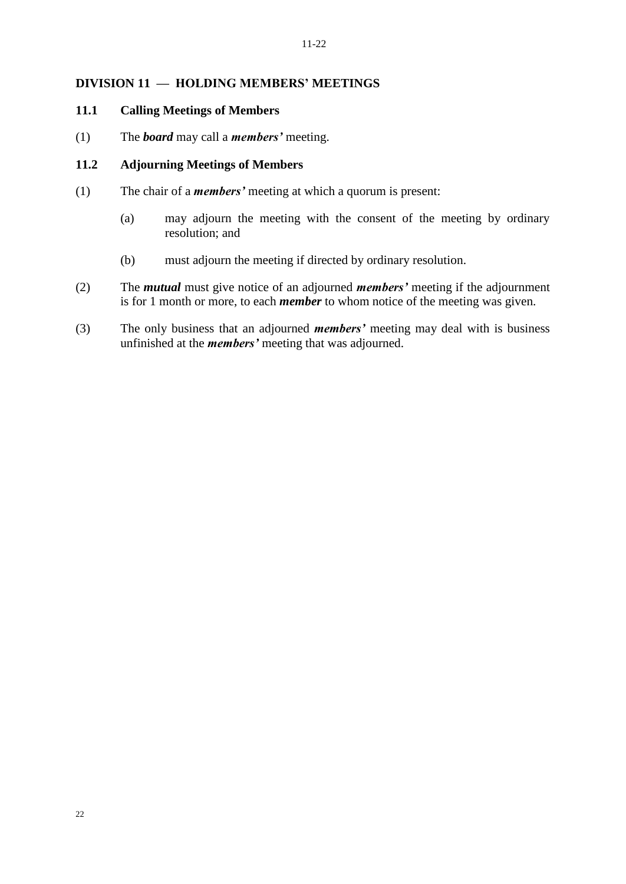# **DIVISION 11 — HOLDING MEMBERS' MEETINGS**

# **11.1 Calling Meetings of Members**

(1) The *board* may call a *members'* meeting.

#### **11.2 Adjourning Meetings of Members**

- (1) The chair of a *members'* meeting at which a quorum is present:
	- (a) may adjourn the meeting with the consent of the meeting by ordinary resolution; and
	- (b) must adjourn the meeting if directed by ordinary resolution.
- (2) The *mutual* must give notice of an adjourned *members'* meeting if the adjournment is for 1 month or more, to each *member* to whom notice of the meeting was given.
- (3) The only business that an adjourned *members'* meeting may deal with is business unfinished at the *members'* meeting that was adjourned.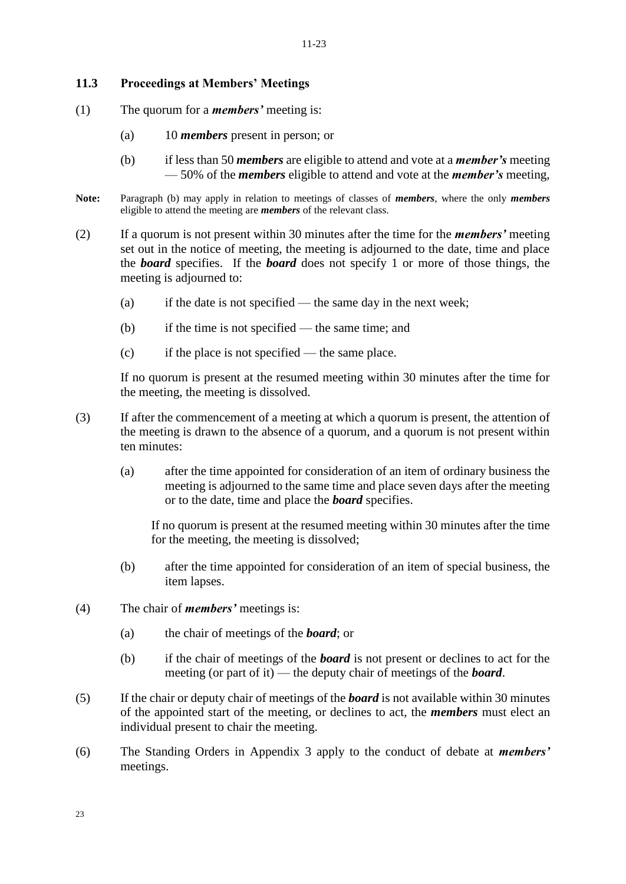#### **11.3 Proceedings at Members' Meetings**

- (1) The quorum for a *members'* meeting is:
	- (a) 10 *members* present in person; or
	- (b) if less than 50 *members* are eligible to attend and vote at a *member's* meeting — 50% of the *members* eligible to attend and vote at the *member's* meeting,
- **Note:** Paragraph (b) may apply in relation to meetings of classes of *members*, where the only *members* eligible to attend the meeting are *members* of the relevant class.
- (2) If a quorum is not present within 30 minutes after the time for the *members'* meeting set out in the notice of meeting, the meeting is adjourned to the date, time and place the *board* specifies. If the *board* does not specify 1 or more of those things, the meeting is adjourned to:
	- (a) if the date is not specified the same day in the next week;
	- (b) if the time is not specified the same time; and
	- (c) if the place is not specified the same place.

If no quorum is present at the resumed meeting within 30 minutes after the time for the meeting, the meeting is dissolved.

- (3) If after the commencement of a meeting at which a quorum is present, the attention of the meeting is drawn to the absence of a quorum, and a quorum is not present within ten minutes:
	- (a) after the time appointed for consideration of an item of ordinary business the meeting is adjourned to the same time and place seven days after the meeting or to the date, time and place the *board* specifies.

If no quorum is present at the resumed meeting within 30 minutes after the time for the meeting, the meeting is dissolved;

- (b) after the time appointed for consideration of an item of special business, the item lapses.
- (4) The chair of *members'* meetings is:
	- (a) the chair of meetings of the *board*; or
	- (b) if the chair of meetings of the *board* is not present or declines to act for the meeting (or part of it) — the deputy chair of meetings of the *board*.
- (5) If the chair or deputy chair of meetings of the *board* is not available within 30 minutes of the appointed start of the meeting, or declines to act, the *members* must elect an individual present to chair the meeting.
- (6) The Standing Orders in Appendix 3 apply to the conduct of debate at *members'* meetings.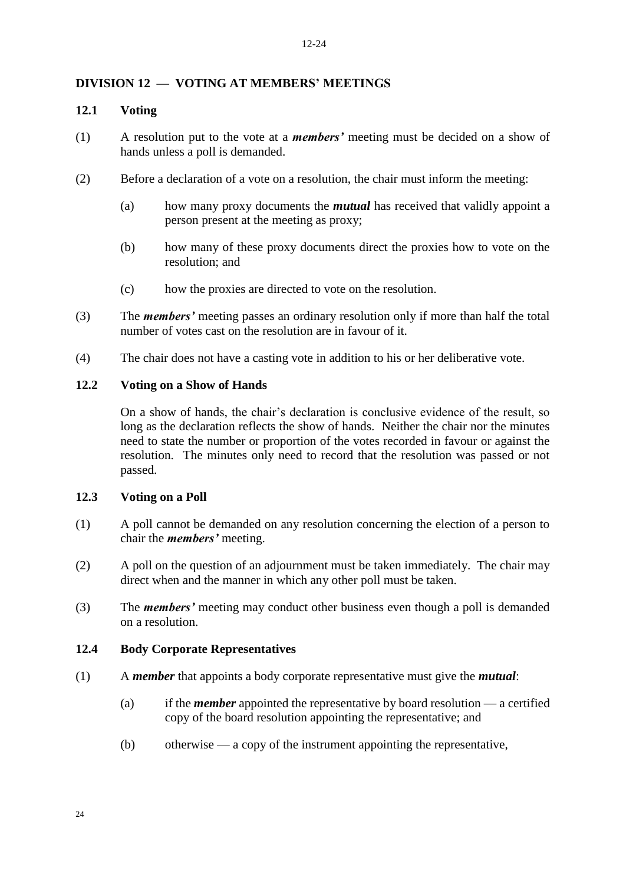# **DIVISION 12 — VOTING AT MEMBERS' MEETINGS**

#### **12.1 Voting**

- (1) A resolution put to the vote at a *members'* meeting must be decided on a show of hands unless a poll is demanded.
- (2) Before a declaration of a vote on a resolution, the chair must inform the meeting:
	- (a) how many proxy documents the *mutual* has received that validly appoint a person present at the meeting as proxy;
	- (b) how many of these proxy documents direct the proxies how to vote on the resolution; and
	- (c) how the proxies are directed to vote on the resolution.
- (3) The *members'* meeting passes an ordinary resolution only if more than half the total number of votes cast on the resolution are in favour of it.
- (4) The chair does not have a casting vote in addition to his or her deliberative vote.

#### **12.2 Voting on a Show of Hands**

On a show of hands, the chair's declaration is conclusive evidence of the result, so long as the declaration reflects the show of hands. Neither the chair nor the minutes need to state the number or proportion of the votes recorded in favour or against the resolution. The minutes only need to record that the resolution was passed or not passed.

#### **12.3 Voting on a Poll**

- (1) A poll cannot be demanded on any resolution concerning the election of a person to chair the *members'* meeting.
- (2) A poll on the question of an adjournment must be taken immediately. The chair may direct when and the manner in which any other poll must be taken.
- (3) The *members'* meeting may conduct other business even though a poll is demanded on a resolution.

#### **12.4 Body Corporate Representatives**

- (1) A *member* that appoints a body corporate representative must give the *mutual*:
	- (a) if the *member* appointed the representative by board resolution a certified copy of the board resolution appointing the representative; and
	- (b) otherwise a copy of the instrument appointing the representative,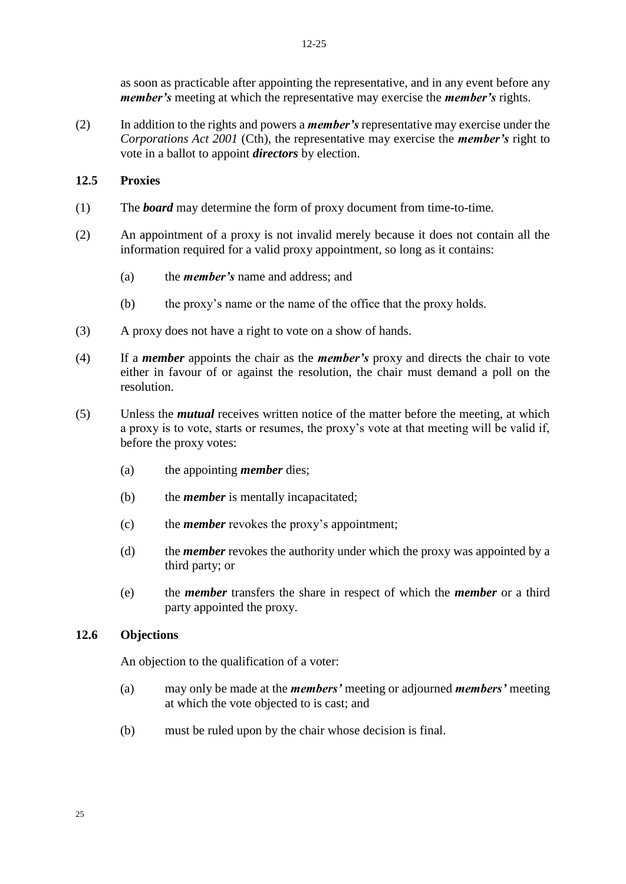as soon as practicable after appointing the representative, and in any event before any *member's* meeting at which the representative may exercise the *member's* rights.

(2) In addition to the rights and powers a *member's* representative may exercise under the *Corporations Act 2001* (Cth), the representative may exercise the *member's* right to vote in a ballot to appoint *directors* by election.

#### **12.5 Proxies**

- (1) The *board* may determine the form of proxy document from time-to-time.
- (2) An appointment of a proxy is not invalid merely because it does not contain all the information required for a valid proxy appointment, so long as it contains:
	- (a) the *member's* name and address; and
	- (b) the proxy's name or the name of the office that the proxy holds.
- (3) A proxy does not have a right to vote on a show of hands.
- (4) If a *member* appoints the chair as the *member's* proxy and directs the chair to vote either in favour of or against the resolution, the chair must demand a poll on the resolution.
- (5) Unless the *mutual* receives written notice of the matter before the meeting, at which a proxy is to vote, starts or resumes, the proxy's vote at that meeting will be valid if, before the proxy votes:
	- (a) the appointing *member* dies;
	- (b) the *member* is mentally incapacitated;
	- (c) the *member* revokes the proxy's appointment;
	- (d) the *member* revokes the authority under which the proxy was appointed by a third party; or
	- (e) the *member* transfers the share in respect of which the *member* or a third party appointed the proxy.

# **12.6 Objections**

An objection to the qualification of a voter:

- (a) may only be made at the *members'* meeting or adjourned *members'* meeting at which the vote objected to is cast; and
- (b) must be ruled upon by the chair whose decision is final.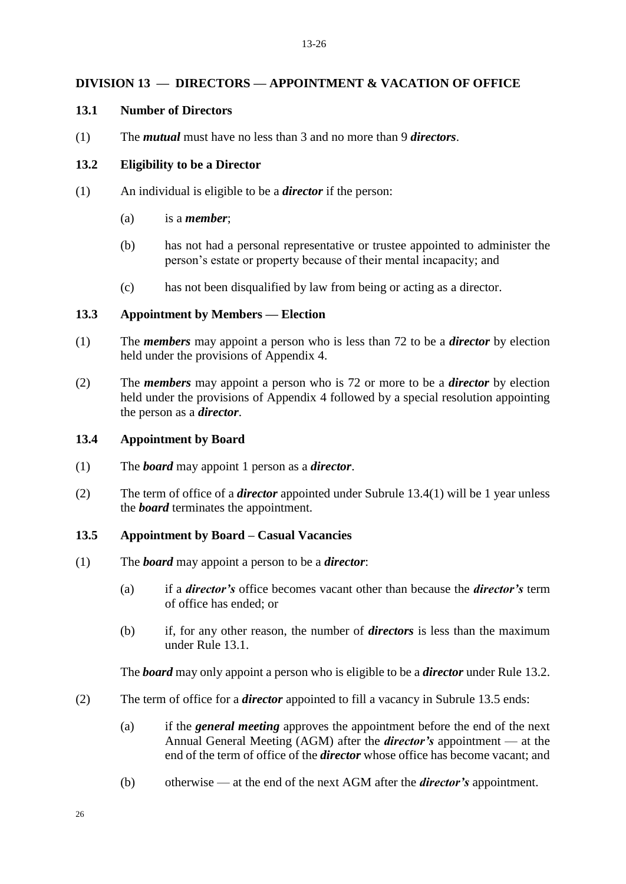#### **DIVISION 13 — DIRECTORS — APPOINTMENT & VACATION OF OFFICE**

#### **13.1 Number of Directors**

(1) The *mutual* must have no less than 3 and no more than 9 *directors*.

#### **13.2 Eligibility to be a Director**

- (1) An individual is eligible to be a *director* if the person:
	- (a) is a *member*;
	- (b) has not had a personal representative or trustee appointed to administer the person's estate or property because of their mental incapacity; and
	- (c) has not been disqualified by law from being or acting as a director.

#### **13.3 Appointment by Members — Election**

- (1) The *members* may appoint a person who is less than 72 to be a *director* by election held under the provisions of Appendix 4.
- (2) The *members* may appoint a person who is 72 or more to be a *director* by election held under the provisions of Appendix 4 followed by a special resolution appointing the person as a *director*.

#### **13.4 Appointment by Board**

- (1) The *board* may appoint 1 person as a *director*.
- (2) The term of office of a *director* appointed under Subrule 13.4(1) will be 1 year unless the *board* terminates the appointment.

#### **13.5 Appointment by Board – Casual Vacancies**

- (1) The *board* may appoint a person to be a *director*:
	- (a) if a *director's* office becomes vacant other than because the *director's* term of office has ended; or
	- (b) if, for any other reason, the number of *directors* is less than the maximum under Rule 13.1.

The *board* may only appoint a person who is eligible to be a *director* under Rule 13.2.

- (2) The term of office for a *director* appointed to fill a vacancy in Subrule 13.5 ends:
	- (a) if the *general meeting* approves the appointment before the end of the next Annual General Meeting (AGM) after the *director's* appointment — at the end of the term of office of the *director* whose office has become vacant; and
	- (b) otherwise at the end of the next AGM after the *director's* appointment.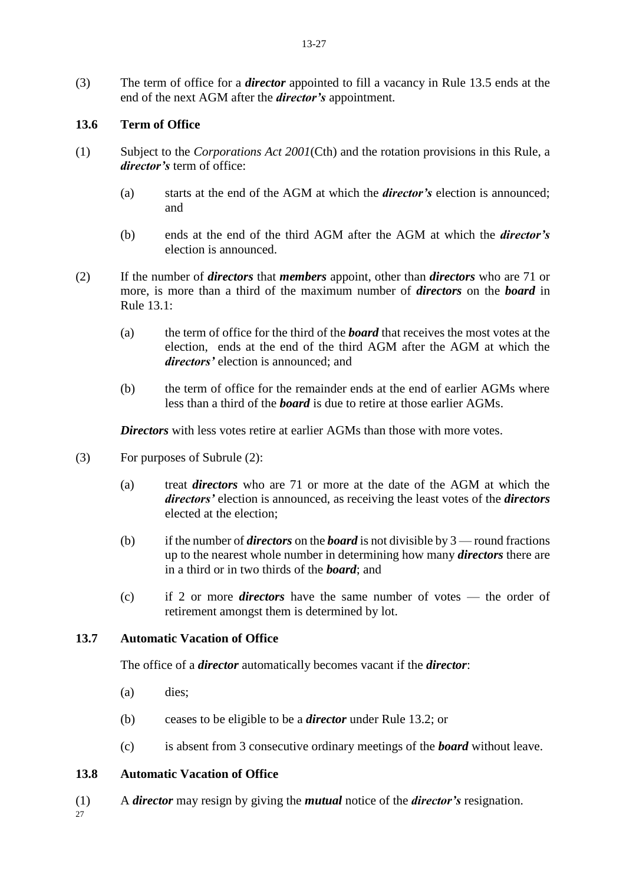(3) The term of office for a *director* appointed to fill a vacancy in Rule 13.5 ends at the end of the next AGM after the *director's* appointment.

# **13.6 Term of Office**

- (1) Subject to the *Corporations Act 2001*(Cth) and the rotation provisions in this Rule, a *director's* term of office:
	- (a) starts at the end of the AGM at which the *director's* election is announced; and
	- (b) ends at the end of the third AGM after the AGM at which the *director's* election is announced.
- (2) If the number of *directors* that *members* appoint, other than *directors* who are 71 or more, is more than a third of the maximum number of *directors* on the *board* in Rule 13.1:
	- (a) the term of office for the third of the *board* that receives the most votes at the election, ends at the end of the third AGM after the AGM at which the *directors'* election is announced; and
	- (b) the term of office for the remainder ends at the end of earlier AGMs where less than a third of the *board* is due to retire at those earlier AGMs.

*Directors* with less votes retire at earlier AGMs than those with more votes.

- (3) For purposes of Subrule (2):
	- (a) treat *directors* who are 71 or more at the date of the AGM at which the *directors'* election is announced, as receiving the least votes of the *directors* elected at the election;
	- (b) if the number of *directors* on the *board* is not divisible by 3 round fractions up to the nearest whole number in determining how many *directors* there are in a third or in two thirds of the *board*; and
	- (c) if 2 or more *directors* have the same number of votes the order of retirement amongst them is determined by lot.

# **13.7 Automatic Vacation of Office**

The office of a *director* automatically becomes vacant if the *director*:

- (a) dies;
- (b) ceases to be eligible to be a *director* under Rule 13.2; or
- (c) is absent from 3 consecutive ordinary meetings of the *board* without leave.

# **13.8 Automatic Vacation of Office**

(1) A *director* may resign by giving the *mutual* notice of the *director's* resignation.

27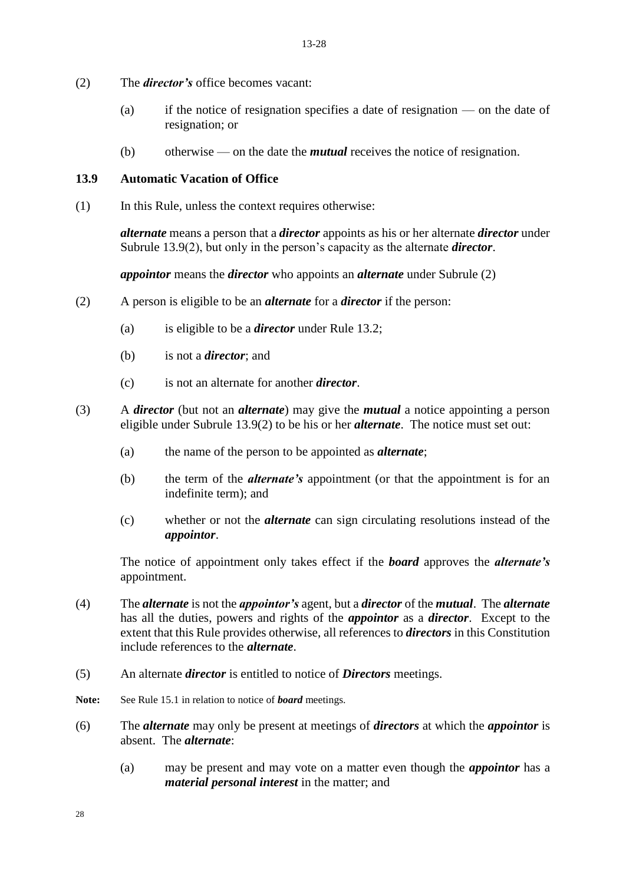- (2) The *director's* office becomes vacant:
	- (a) if the notice of resignation specifies a date of resignation on the date of resignation; or
	- (b) otherwise on the date the *mutual* receives the notice of resignation.

# **13.9 Automatic Vacation of Office**

(1) In this Rule, unless the context requires otherwise:

*alternate* means a person that a *director* appoints as his or her alternate *director* under Subrule 13.9(2), but only in the person's capacity as the alternate *director*.

*appointor* means the *director* who appoints an *alternate* under Subrule (2)

- (2) A person is eligible to be an *alternate* for a *director* if the person:
	- (a) is eligible to be a *director* under Rule 13.2;
	- (b) is not a *director*; and
	- (c) is not an alternate for another *director*.
- (3) A *director* (but not an *alternate*) may give the *mutual* a notice appointing a person eligible under Subrule 13.9(2) to be his or her *alternate*. The notice must set out:
	- (a) the name of the person to be appointed as *alternate*;
	- (b) the term of the *alternate's* appointment (or that the appointment is for an indefinite term); and
	- (c) whether or not the *alternate* can sign circulating resolutions instead of the *appointor*.

The notice of appointment only takes effect if the *board* approves the *alternate's*  appointment.

- (4) The *alternate* is not the *appointor's* agent, but a *director* of the *mutual*. The *alternate*  has all the duties, powers and rights of the *appointor* as a *director*. Except to the extent that this Rule provides otherwise, all references to *directors* in this Constitution include references to the *alternate*.
- (5) An alternate *director* is entitled to notice of *Directors* meetings.
- Note: See Rule 15.1 in relation to notice of *board* meetings.
- (6) The *alternate* may only be present at meetings of *directors* at which the *appointor* is absent. The *alternate*:
	- (a) may be present and may vote on a matter even though the *appointor* has a *material personal interest* in the matter; and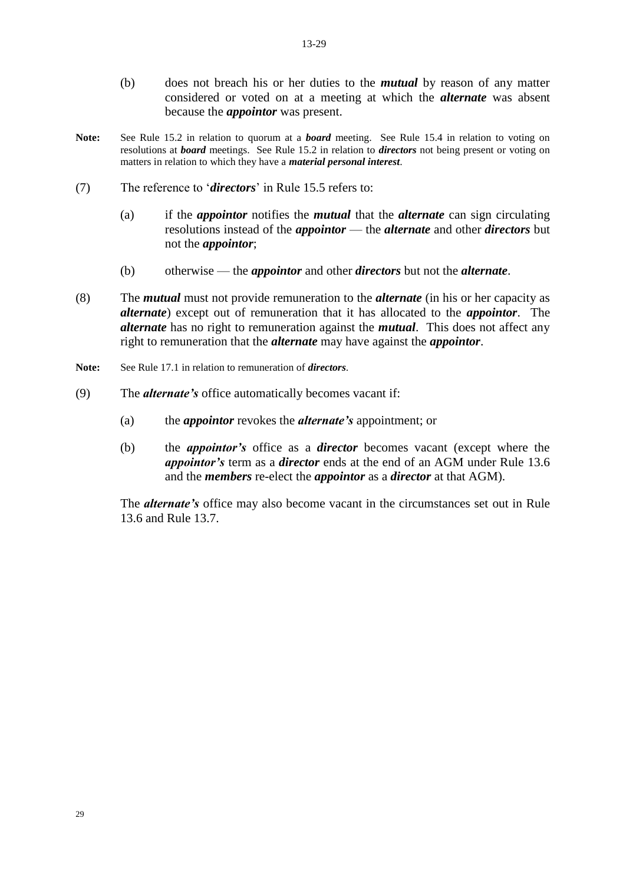- (b) does not breach his or her duties to the *mutual* by reason of any matter considered or voted on at a meeting at which the *alternate* was absent because the *appointor* was present.
- **Note:** See Rule 15.2 in relation to quorum at a *board* meeting. See Rule 15.4 in relation to voting on resolutions at *board* meetings. See Rule 15.2 in relation to *directors* not being present or voting on matters in relation to which they have a *material personal interest*.
- (7) The reference to '*directors*' in Rule 15.5 refers to:
	- (a) if the *appointor* notifies the *mutual* that the *alternate* can sign circulating resolutions instead of the *appointor* — the *alternate* and other *directors* but not the *appointor*;
	- (b) otherwise the *appointor* and other *directors* but not the *alternate*.
- (8) The *mutual* must not provide remuneration to the *alternate* (in his or her capacity as *alternate*) except out of remuneration that it has allocated to the *appointor*. The *alternate* has no right to remuneration against the *mutual*. This does not affect any right to remuneration that the *alternate* may have against the *appointor*.
- **Note:** See Rule 17.1 in relation to remuneration of *directors*.
- (9) The *alternate's* office automatically becomes vacant if:
	- (a) the *appointor* revokes the *alternate's* appointment; or
	- (b) the *appointor's* office as a *director* becomes vacant (except where the *appointor's* term as a *director* ends at the end of an AGM under Rule 13.6 and the *members* re-elect the *appointor* as a *director* at that AGM).

The *alternate's* office may also become vacant in the circumstances set out in Rule 13.6 and Rule 13.7.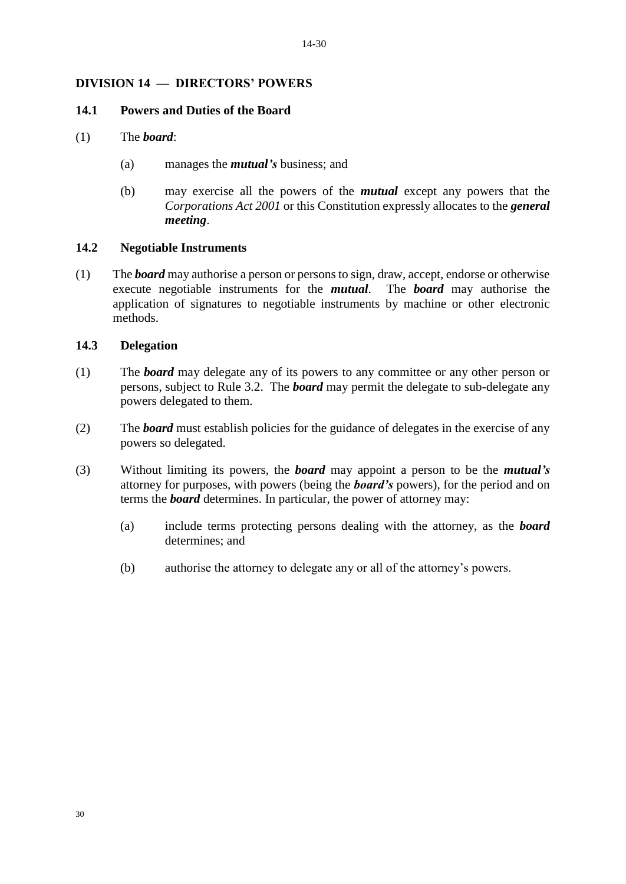# **DIVISION 14 — DIRECTORS' POWERS**

#### **14.1 Powers and Duties of the Board**

- (1) The *board*:
	- (a) manages the *mutual's* business; and
	- (b) may exercise all the powers of the *mutual* except any powers that the *Corporations Act 2001* or this Constitution expressly allocates to the *general meeting*.

# **14.2 Negotiable Instruments**

(1) The *board* may authorise a person or persons to sign, draw, accept, endorse or otherwise execute negotiable instruments for the *mutual*. The *board* may authorise the application of signatures to negotiable instruments by machine or other electronic methods.

#### **14.3 Delegation**

- (1) The *board* may delegate any of its powers to any committee or any other person or persons, subject to Rule 3.2. The *board* may permit the delegate to sub-delegate any powers delegated to them.
- (2) The *board* must establish policies for the guidance of delegates in the exercise of any powers so delegated.
- (3) Without limiting its powers, the *board* may appoint a person to be the *mutual's*  attorney for purposes, with powers (being the *board's* powers), for the period and on terms the *board* determines. In particular, the power of attorney may:
	- (a) include terms protecting persons dealing with the attorney, as the *board*  determines; and
	- (b) authorise the attorney to delegate any or all of the attorney's powers.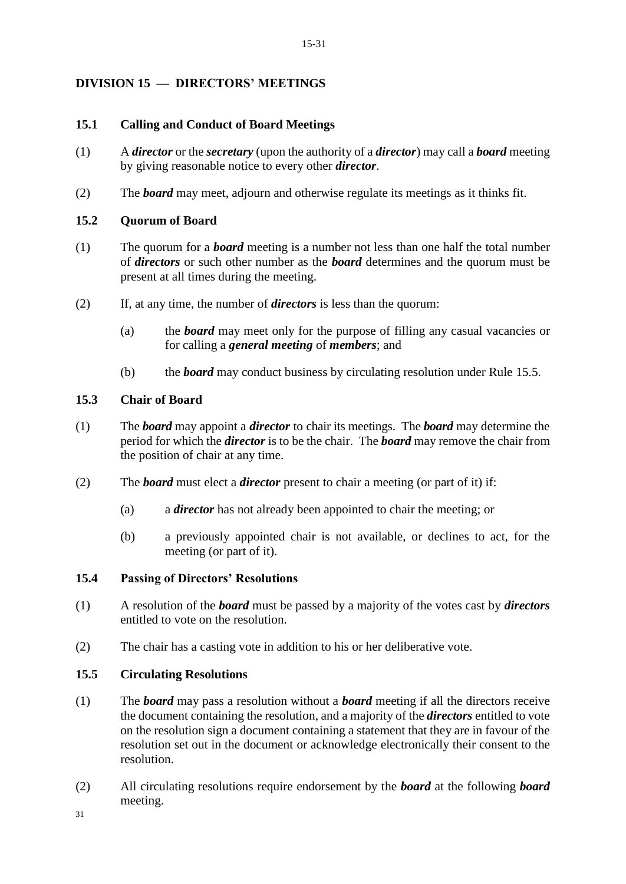# **DIVISION 15 — DIRECTORS' MEETINGS**

#### **15.1 Calling and Conduct of Board Meetings**

- (1) A *director* or the *secretary* (upon the authority of a *director*) may call a *board* meeting by giving reasonable notice to every other *director*.
- (2) The *board* may meet, adjourn and otherwise regulate its meetings as it thinks fit.

#### **15.2 Quorum of Board**

- (1) The quorum for a *board* meeting is a number not less than one half the total number of *directors* or such other number as the *board* determines and the quorum must be present at all times during the meeting.
- (2) If, at any time, the number of *directors* is less than the quorum:
	- (a) the *board* may meet only for the purpose of filling any casual vacancies or for calling a *general meeting* of *members*; and
	- (b) the *board* may conduct business by circulating resolution under Rule 15.5.

## **15.3 Chair of Board**

- (1) The *board* may appoint a *director* to chair its meetings. The *board* may determine the period for which the *director* is to be the chair. The *board* may remove the chair from the position of chair at any time.
- (2) The *board* must elect a *director* present to chair a meeting (or part of it) if:
	- (a) a *director* has not already been appointed to chair the meeting; or
	- (b) a previously appointed chair is not available, or declines to act, for the meeting (or part of it).

#### **15.4 Passing of Directors' Resolutions**

- (1) A resolution of the *board* must be passed by a majority of the votes cast by *directors*  entitled to vote on the resolution.
- (2) The chair has a casting vote in addition to his or her deliberative vote.

# **15.5 Circulating Resolutions**

- (1) The *board* may pass a resolution without a *board* meeting if all the directors receive the document containing the resolution, and a majority of the *directors* entitled to vote on the resolution sign a document containing a statement that they are in favour of the resolution set out in the document or acknowledge electronically their consent to the resolution.
- (2) All circulating resolutions require endorsement by the *board* at the following *board* meeting.

31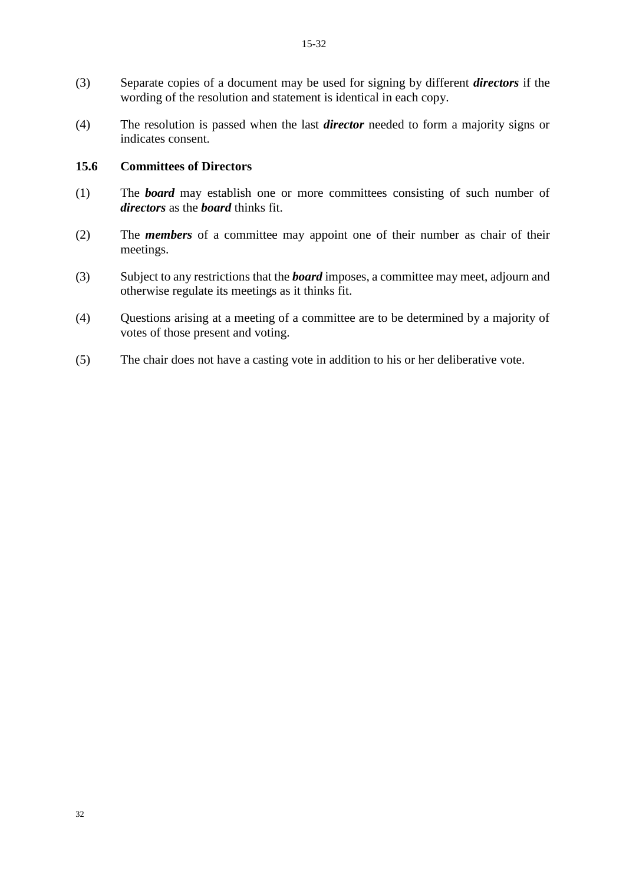- (3) Separate copies of a document may be used for signing by different *directors* if the wording of the resolution and statement is identical in each copy.
- (4) The resolution is passed when the last *director* needed to form a majority signs or indicates consent.

#### **15.6 Committees of Directors**

- (1) The *board* may establish one or more committees consisting of such number of *directors* as the *board* thinks fit.
- (2) The *members* of a committee may appoint one of their number as chair of their meetings.
- (3) Subject to any restrictions that the *board* imposes, a committee may meet, adjourn and otherwise regulate its meetings as it thinks fit.
- (4) Questions arising at a meeting of a committee are to be determined by a majority of votes of those present and voting.
- (5) The chair does not have a casting vote in addition to his or her deliberative vote.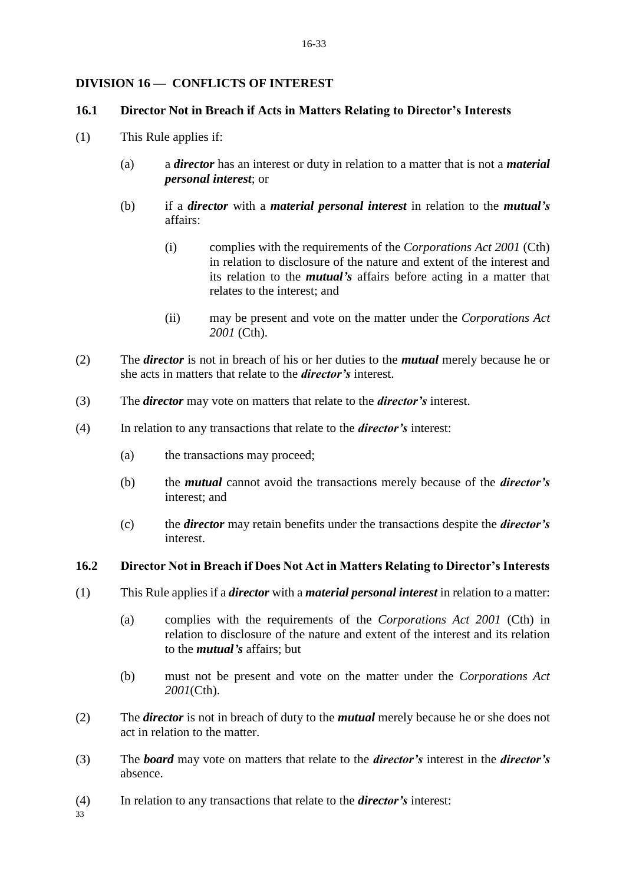# **DIVISION 16 — CONFLICTS OF INTEREST**

#### **16.1 Director Not in Breach if Acts in Matters Relating to Director's Interests**

- (1) This Rule applies if:
	- (a) a *director* has an interest or duty in relation to a matter that is not a *material personal interest*; or
	- (b) if a *director* with a *material personal interest* in relation to the *mutual's*  affairs:
		- (i) complies with the requirements of the *Corporations Act 2001* (Cth) in relation to disclosure of the nature and extent of the interest and its relation to the *mutual's* affairs before acting in a matter that relates to the interest; and
		- (ii) may be present and vote on the matter under the *Corporations Act 2001* (Cth).
- (2) The *director* is not in breach of his or her duties to the *mutual* merely because he or she acts in matters that relate to the *director's* interest.
- (3) The *director* may vote on matters that relate to the *director's* interest.
- (4) In relation to any transactions that relate to the *director's* interest:
	- (a) the transactions may proceed;
	- (b) the *mutual* cannot avoid the transactions merely because of the *director's*  interest; and
	- (c) the *director* may retain benefits under the transactions despite the *director's*  interest.

# **16.2 Director Not in Breach if Does Not Act in Matters Relating to Director's Interests**

- (1) This Rule applies if a *director* with a *material personal interest* in relation to a matter:
	- (a) complies with the requirements of the *Corporations Act 2001* (Cth) in relation to disclosure of the nature and extent of the interest and its relation to the *mutual's* affairs; but
	- (b) must not be present and vote on the matter under the *Corporations Act 2001*(Cth).
- (2) The *director* is not in breach of duty to the *mutual* merely because he or she does not act in relation to the matter.
- (3) The *board* may vote on matters that relate to the *director's* interest in the *director's*  absence.
- (4) In relation to any transactions that relate to the *director's* interest:

33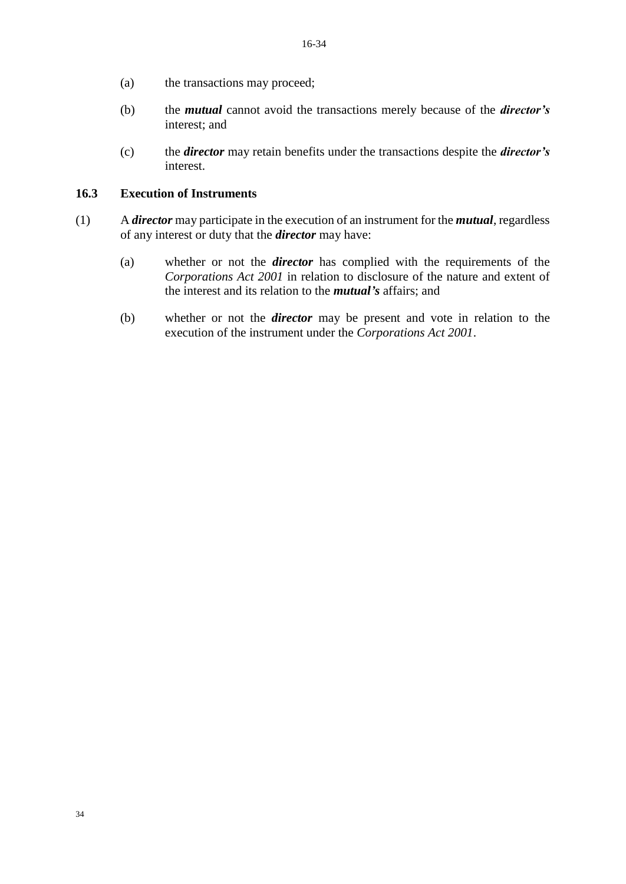- (a) the transactions may proceed;
- (b) the *mutual* cannot avoid the transactions merely because of the *director's* interest; and
- (c) the *director* may retain benefits under the transactions despite the *director's* interest.

# **16.3 Execution of Instruments**

- (1) A *director* may participate in the execution of an instrument for the *mutual*, regardless of any interest or duty that the *director* may have:
	- (a) whether or not the *director* has complied with the requirements of the *Corporations Act 2001* in relation to disclosure of the nature and extent of the interest and its relation to the *mutual's* affairs; and
	- (b) whether or not the *director* may be present and vote in relation to the execution of the instrument under the *Corporations Act 2001*.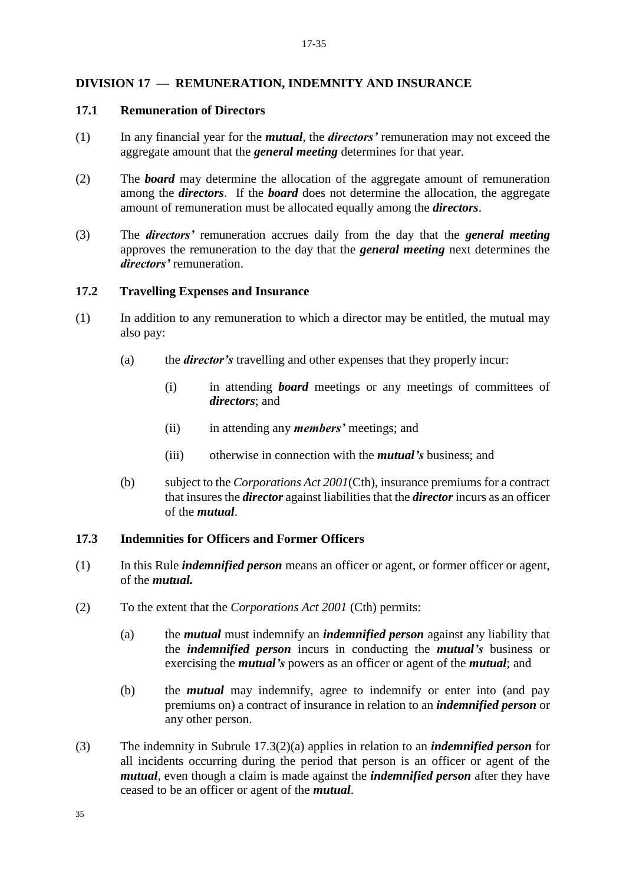#### **DIVISION 17 — REMUNERATION, INDEMNITY AND INSURANCE**

#### **17.1 Remuneration of Directors**

- (1) In any financial year for the *mutual*, the *directors'* remuneration may not exceed the aggregate amount that the *general meeting* determines for that year.
- (2) The *board* may determine the allocation of the aggregate amount of remuneration among the *directors*. If the *board* does not determine the allocation, the aggregate amount of remuneration must be allocated equally among the *directors*.
- (3) The *directors'* remuneration accrues daily from the day that the *general meeting*  approves the remuneration to the day that the *general meeting* next determines the *directors'* remuneration.

#### **17.2 Travelling Expenses and Insurance**

- (1) In addition to any remuneration to which a director may be entitled, the mutual may also pay:
	- (a) the *director's* travelling and other expenses that they properly incur:
		- (i) in attending *board* meetings or any meetings of committees of *directors*; and
		- (ii) in attending any *members'* meetings; and
		- (iii) otherwise in connection with the *mutual's* business; and
	- (b) subject to the *Corporations Act 2001*(Cth), insurance premiums for a contract that insures the *director* against liabilities that the *director* incurs as an officer of the *mutual*.

#### **17.3 Indemnities for Officers and Former Officers**

- (1) In this Rule *indemnified person* means an officer or agent, or former officer or agent, of the *mutual.*
- (2) To the extent that the *Corporations Act 2001* (Cth) permits:
	- (a) the *mutual* must indemnify an *indemnified person* against any liability that the *indemnified person* incurs in conducting the *mutual's* business or exercising the *mutual's* powers as an officer or agent of the *mutual*; and
	- (b) the *mutual* may indemnify, agree to indemnify or enter into (and pay premiums on) a contract of insurance in relation to an *indemnified person* or any other person.
- (3) The indemnity in Subrule 17.3(2)(a) applies in relation to an *indemnified person* for all incidents occurring during the period that person is an officer or agent of the *mutual*, even though a claim is made against the *indemnified person* after they have ceased to be an officer or agent of the *mutual*.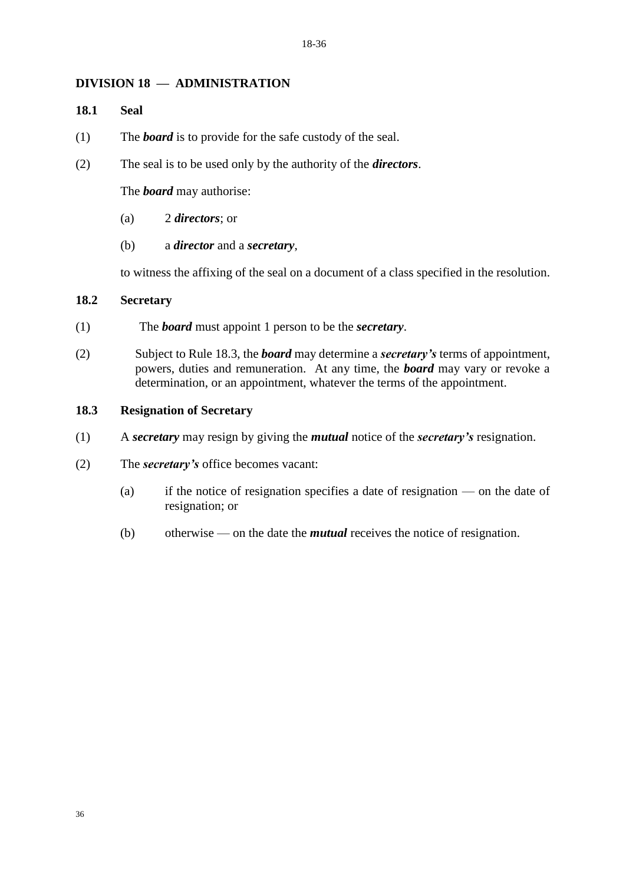#### **DIVISION 18 — ADMINISTRATION**

#### **18.1 Seal**

- (1) The *board* is to provide for the safe custody of the seal.
- (2) The seal is to be used only by the authority of the *directors*.

The *board* may authorise:

- (a) 2 *directors*; or
- (b) a *director* and a *secretary*,

to witness the affixing of the seal on a document of a class specified in the resolution.

#### **18.2 Secretary**

- (1) The *board* must appoint 1 person to be the *secretary*.
- (2) Subject to Rule 18.3, the *board* may determine a *secretary's* terms of appointment, powers, duties and remuneration. At any time, the *board* may vary or revoke a determination, or an appointment, whatever the terms of the appointment.

#### **18.3 Resignation of Secretary**

- (1) A *secretary* may resign by giving the *mutual* notice of the *secretary's* resignation.
- (2) The *secretary's* office becomes vacant:
	- (a) if the notice of resignation specifies a date of resignation on the date of resignation; or
	- (b) otherwise on the date the *mutual* receives the notice of resignation.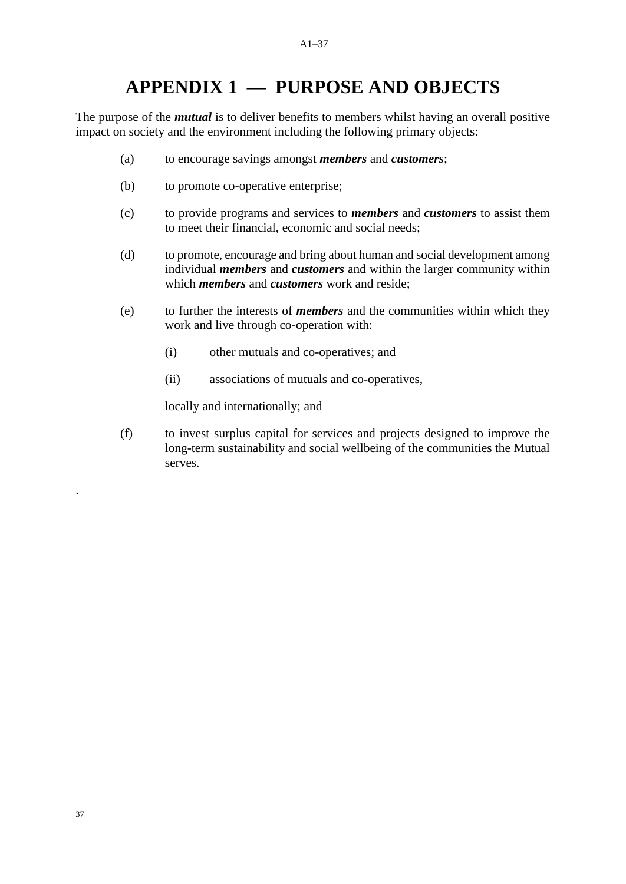# **APPENDIX 1 — PURPOSE AND OBJECTS**

The purpose of the *mutual* is to deliver benefits to members whilst having an overall positive impact on society and the environment including the following primary objects:

- (a) to encourage savings amongst *members* and *customers*;
- (b) to promote co-operative enterprise;
- (c) to provide programs and services to *members* and *customers* to assist them to meet their financial, economic and social needs;
- (d) to promote, encourage and bring about human and social development among individual *members* and *customers* and within the larger community within which *members* and *customers* work and reside;
- (e) to further the interests of *members* and the communities within which they work and live through co-operation with:
	- (i) other mutuals and co-operatives; and
	- (ii) associations of mutuals and co-operatives,

locally and internationally; and

(f) to invest surplus capital for services and projects designed to improve the long-term sustainability and social wellbeing of the communities the Mutual serves.

.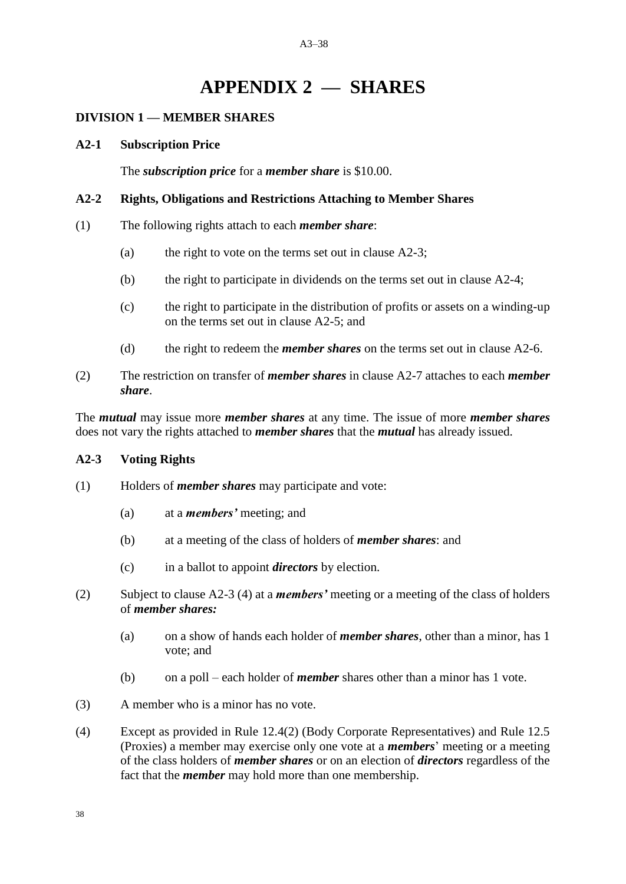#### A3–38

# **APPENDIX 2 — SHARES**

#### **DIVISION 1 — MEMBER SHARES**

#### **A2-1 Subscription Price**

The *subscription price* for a *member share* is \$10.00.

#### **A2-2 Rights, Obligations and Restrictions Attaching to Member Shares**

- (1) The following rights attach to each *member share*:
	- (a) the right to vote on the terms set out in clause  $A2-3$ ;
	- (b) the right to participate in dividends on the terms set out in clause A2-4;
	- (c) the right to participate in the distribution of profits or assets on a winding-up on the terms set out in clause A2-5; and
	- (d) the right to redeem the *member shares* on the terms set out in clause A2-6.
- (2) The restriction on transfer of *member shares* in clause A2-7 attaches to each *member share*.

The *mutual* may issue more *member shares* at any time. The issue of more *member shares* does not vary the rights attached to *member shares* that the *mutual* has already issued.

#### **A2-3 Voting Rights**

- (1) Holders of *member shares* may participate and vote:
	- (a) at a *members'* meeting; and
	- (b) at a meeting of the class of holders of *member shares*: and
	- (c) in a ballot to appoint *directors* by election.
- (2) Subject to clause A2-3 (4) at a *members'* meeting or a meeting of the class of holders of *member shares:*
	- (a) on a show of hands each holder of *member shares*, other than a minor, has 1 vote; and
	- (b) on a poll each holder of *member* shares other than a minor has 1 vote.
- (3) A member who is a minor has no vote.
- (4) Except as provided in Rule 12.4(2) (Body Corporate Representatives) and Rule 12.5 (Proxies) a member may exercise only one vote at a *members*' meeting or a meeting of the class holders of *member shares* or on an election of *directors* regardless of the fact that the *member* may hold more than one membership.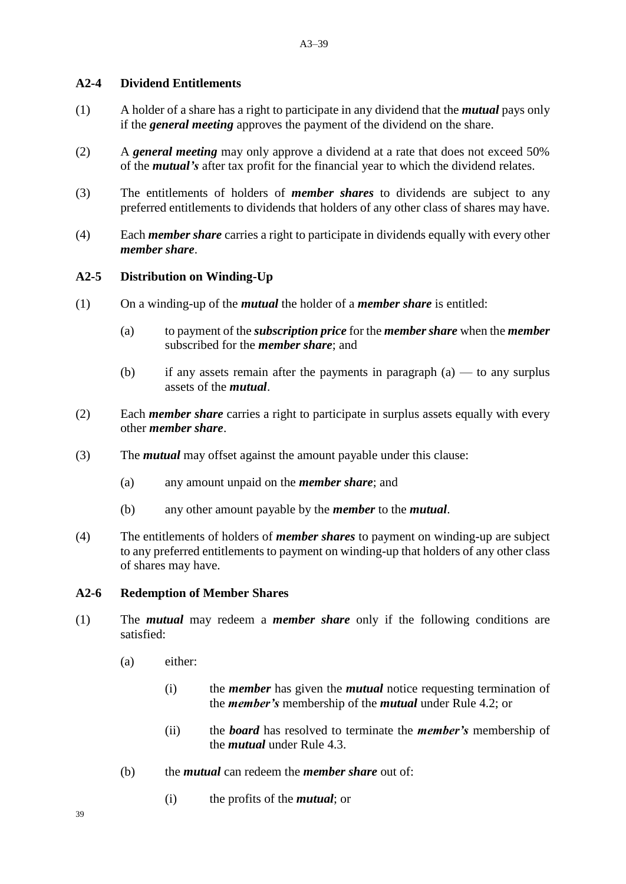#### **A2-4 Dividend Entitlements**

- (1) A holder of a share has a right to participate in any dividend that the *mutual* pays only if the *general meeting* approves the payment of the dividend on the share.
- (2) A *general meeting* may only approve a dividend at a rate that does not exceed 50% of the *mutual's* after tax profit for the financial year to which the dividend relates.
- (3) The entitlements of holders of *member shares* to dividends are subject to any preferred entitlements to dividends that holders of any other class of shares may have.
- (4) Each *member share* carries a right to participate in dividends equally with every other *member share*.

## **A2-5 Distribution on Winding-Up**

- (1) On a winding-up of the *mutual* the holder of a *member share* is entitled:
	- (a) to payment of the *subscription price* for the *member share* when the *member*  subscribed for the *member share*; and
	- (b) if any assets remain after the payments in paragraph  $(a)$  to any surplus assets of the *mutual*.
- (2) Each *member share* carries a right to participate in surplus assets equally with every other *member share*.
- (3) The *mutual* may offset against the amount payable under this clause:
	- (a) any amount unpaid on the *member share*; and
	- (b) any other amount payable by the *member* to the *mutual*.
- (4) The entitlements of holders of *member shares* to payment on winding-up are subject to any preferred entitlements to payment on winding-up that holders of any other class of shares may have.

# **A2-6 Redemption of Member Shares**

- (1) The *mutual* may redeem a *member share* only if the following conditions are satisfied:
	- (a) either:
		- (i) the *member* has given the *mutual* notice requesting termination of the *member's* membership of the *mutual* under Rule 4.2; or
		- (ii) the *board* has resolved to terminate the *member's* membership of the *mutual* under Rule 4.3.
	- (b) the *mutual* can redeem the *member share* out of:
		- (i) the profits of the *mutual*; or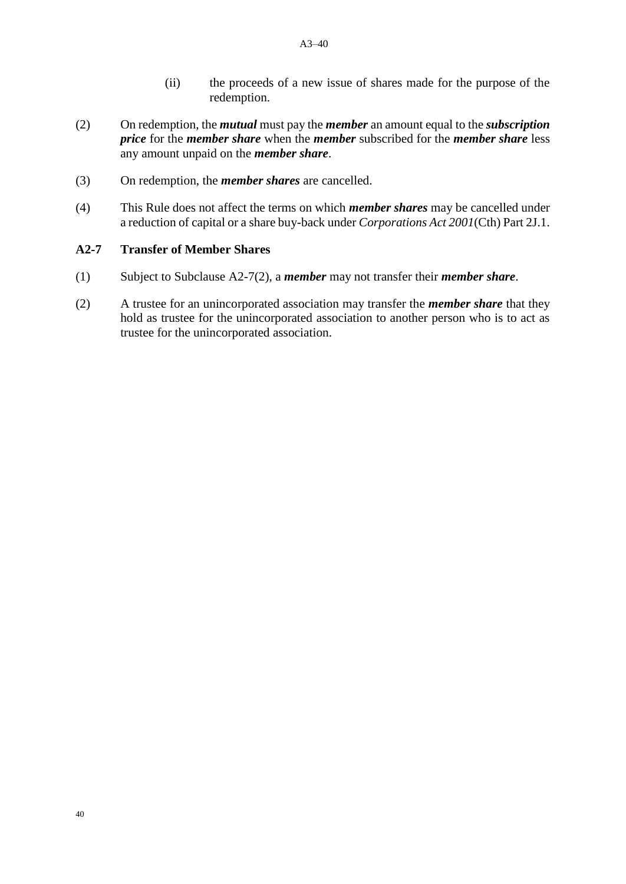- (ii) the proceeds of a new issue of shares made for the purpose of the redemption.
- (2) On redemption, the *mutual* must pay the *member* an amount equal to the *subscription price* for the *member share* when the *member* subscribed for the *member share* less any amount unpaid on the *member share*.
- (3) On redemption, the *member shares* are cancelled.
- (4) This Rule does not affect the terms on which *member shares* may be cancelled under a reduction of capital or a share buy-back under *Corporations Act 2001*(Cth) Part 2J.1.

#### **A2-7 Transfer of Member Shares**

- (1) Subject to Subclause A2-7(2), a *member* may not transfer their *member share*.
- (2) A trustee for an unincorporated association may transfer the *member share* that they hold as trustee for the unincorporated association to another person who is to act as trustee for the unincorporated association.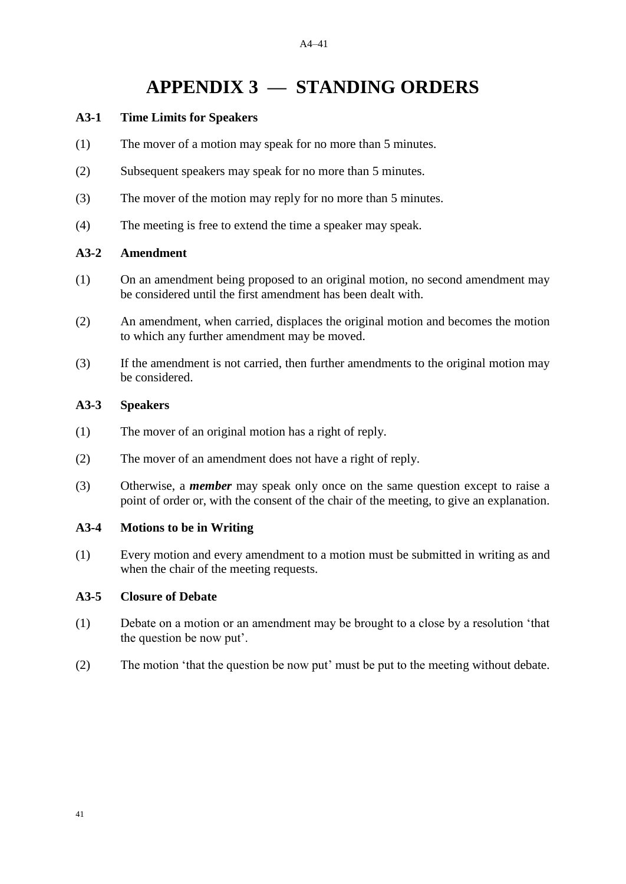# **APPENDIX 3 — STANDING ORDERS**

#### **A3-1 Time Limits for Speakers**

- (1) The mover of a motion may speak for no more than 5 minutes.
- (2) Subsequent speakers may speak for no more than 5 minutes.
- (3) The mover of the motion may reply for no more than 5 minutes.
- (4) The meeting is free to extend the time a speaker may speak.

#### **A3-2 Amendment**

- (1) On an amendment being proposed to an original motion, no second amendment may be considered until the first amendment has been dealt with.
- (2) An amendment, when carried, displaces the original motion and becomes the motion to which any further amendment may be moved.
- (3) If the amendment is not carried, then further amendments to the original motion may be considered.

#### **A3-3 Speakers**

- (1) The mover of an original motion has a right of reply.
- (2) The mover of an amendment does not have a right of reply.
- (3) Otherwise, a *member* may speak only once on the same question except to raise a point of order or, with the consent of the chair of the meeting, to give an explanation.

#### **A3-4 Motions to be in Writing**

(1) Every motion and every amendment to a motion must be submitted in writing as and when the chair of the meeting requests.

#### **A3-5 Closure of Debate**

- (1) Debate on a motion or an amendment may be brought to a close by a resolution 'that the question be now put'.
- (2) The motion 'that the question be now put' must be put to the meeting without debate.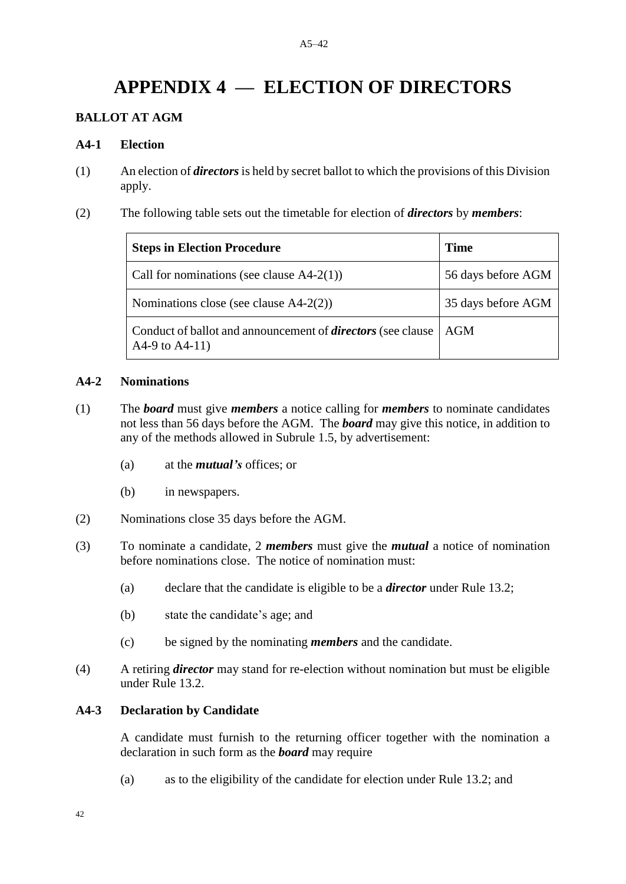#### A5–42

# **APPENDIX 4 — ELECTION OF DIRECTORS**

# **BALLOT AT AGM**

#### **A4-1 Election**

- (1) An election of *directors* is held by secret ballot to which the provisions of this Division apply.
- (2) The following table sets out the timetable for election of *directors* by *members*:

| <b>Steps in Election Procedure</b>                                                      | <b>Time</b>        |
|-----------------------------------------------------------------------------------------|--------------------|
| Call for nominations (see clause $A4-2(1)$ )                                            | 56 days before AGM |
| Nominations close (see clause $A4-2(2)$ )                                               | 35 days before AGM |
| Conduct of ballot and announcement of <i>directors</i> (see clause<br>A4-9 to $A4-11$ ) | AGM                |

#### **A4-2 Nominations**

- (1) The *board* must give *members* a notice calling for *members* to nominate candidates not less than 56 days before the AGM. The *board* may give this notice, in addition to any of the methods allowed in Subrule 1.5, by advertisement:
	- (a) at the *mutual's* offices; or
	- (b) in newspapers.
- (2) Nominations close 35 days before the AGM.
- (3) To nominate a candidate, 2 *members* must give the *mutual* a notice of nomination before nominations close. The notice of nomination must:
	- (a) declare that the candidate is eligible to be a *director* under Rule 13.2;
	- (b) state the candidate's age; and
	- (c) be signed by the nominating *members* and the candidate.
- (4) A retiring *director* may stand for re-election without nomination but must be eligible under Rule 13.2.

#### **A4-3 Declaration by Candidate**

A candidate must furnish to the returning officer together with the nomination a declaration in such form as the *board* may require

(a) as to the eligibility of the candidate for election under Rule 13.2; and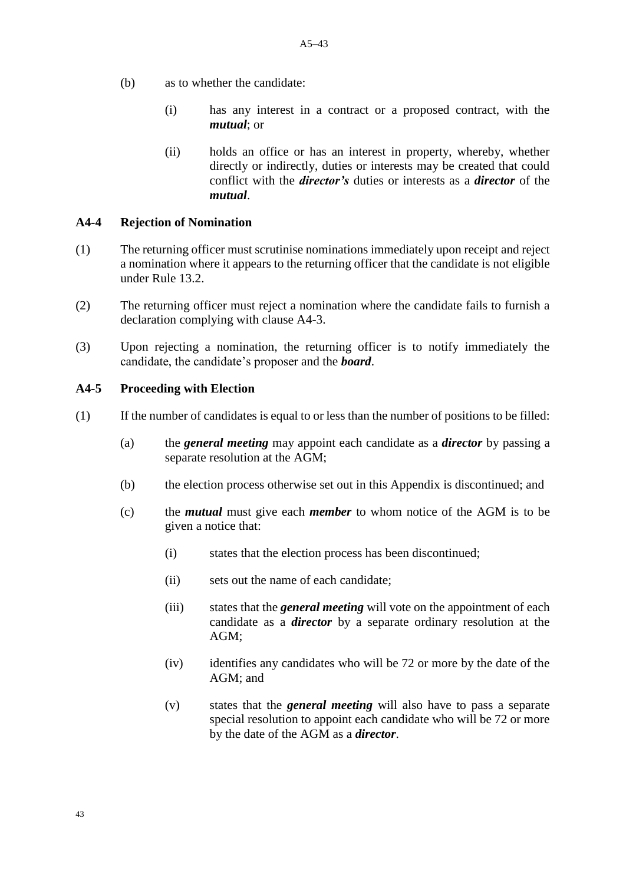- (b) as to whether the candidate:
	- (i) has any interest in a contract or a proposed contract, with the *mutual*; or
	- (ii) holds an office or has an interest in property, whereby, whether directly or indirectly, duties or interests may be created that could conflict with the *director's* duties or interests as a *director* of the *mutual*.

#### **A4-4 Rejection of Nomination**

- (1) The returning officer must scrutinise nominations immediately upon receipt and reject a nomination where it appears to the returning officer that the candidate is not eligible under Rule 13.2.
- (2) The returning officer must reject a nomination where the candidate fails to furnish a declaration complying with clause A4-3.
- (3) Upon rejecting a nomination, the returning officer is to notify immediately the candidate, the candidate's proposer and the *board*.

#### **A4-5 Proceeding with Election**

- (1) If the number of candidates is equal to or less than the number of positions to be filled:
	- (a) the *general meeting* may appoint each candidate as a *director* by passing a separate resolution at the AGM;
	- (b) the election process otherwise set out in this Appendix is discontinued; and
	- (c) the *mutual* must give each *member* to whom notice of the AGM is to be given a notice that:
		- (i) states that the election process has been discontinued;
		- (ii) sets out the name of each candidate;
		- (iii) states that the *general meeting* will vote on the appointment of each candidate as a *director* by a separate ordinary resolution at the AGM;
		- (iv) identifies any candidates who will be 72 or more by the date of the AGM; and
		- (v) states that the *general meeting* will also have to pass a separate special resolution to appoint each candidate who will be 72 or more by the date of the AGM as a *director*.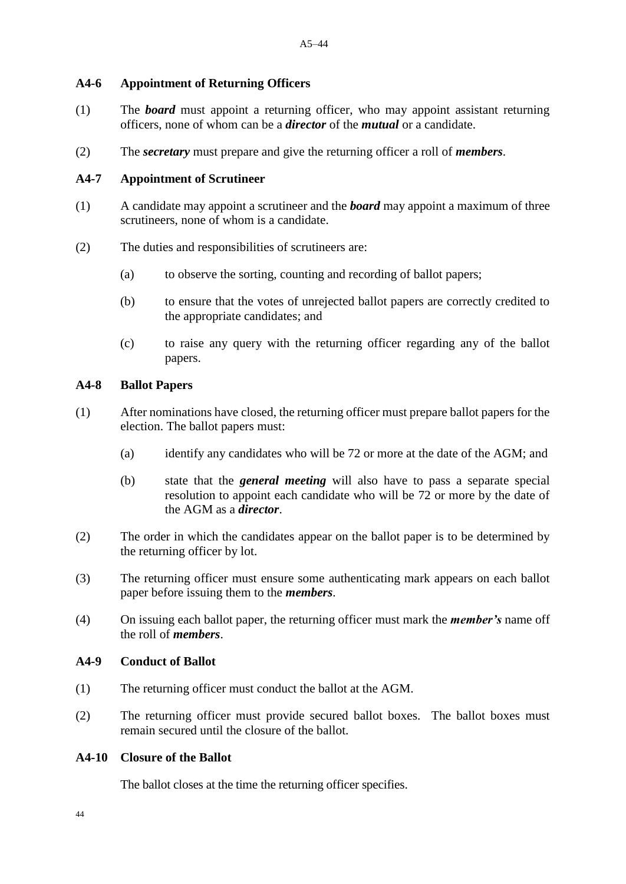#### **A4-6 Appointment of Returning Officers**

- (1) The *board* must appoint a returning officer, who may appoint assistant returning officers, none of whom can be a *director* of the *mutual* or a candidate.
- (2) The *secretary* must prepare and give the returning officer a roll of *members*.

#### **A4-7 Appointment of Scrutineer**

- (1) A candidate may appoint a scrutineer and the *board* may appoint a maximum of three scrutineers, none of whom is a candidate.
- (2) The duties and responsibilities of scrutineers are:
	- (a) to observe the sorting, counting and recording of ballot papers;
	- (b) to ensure that the votes of unrejected ballot papers are correctly credited to the appropriate candidates; and
	- (c) to raise any query with the returning officer regarding any of the ballot papers.

#### **A4-8 Ballot Papers**

- (1) After nominations have closed, the returning officer must prepare ballot papers for the election. The ballot papers must:
	- (a) identify any candidates who will be 72 or more at the date of the AGM; and
	- (b) state that the *general meeting* will also have to pass a separate special resolution to appoint each candidate who will be 72 or more by the date of the AGM as a *director*.
- (2) The order in which the candidates appear on the ballot paper is to be determined by the returning officer by lot.
- (3) The returning officer must ensure some authenticating mark appears on each ballot paper before issuing them to the *members*.
- (4) On issuing each ballot paper, the returning officer must mark the *member's* name off the roll of *members*.

#### **A4-9 Conduct of Ballot**

- (1) The returning officer must conduct the ballot at the AGM.
- (2) The returning officer must provide secured ballot boxes. The ballot boxes must remain secured until the closure of the ballot.

#### **A4-10 Closure of the Ballot**

The ballot closes at the time the returning officer specifies.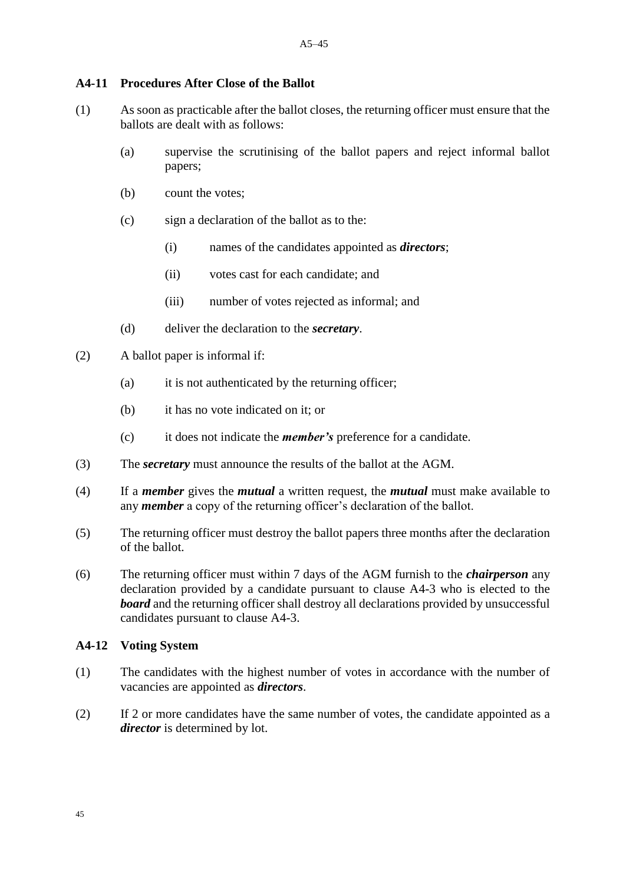#### **A4-11 Procedures After Close of the Ballot**

- (1) As soon as practicable after the ballot closes, the returning officer must ensure that the ballots are dealt with as follows:
	- (a) supervise the scrutinising of the ballot papers and reject informal ballot papers;
	- (b) count the votes;
	- (c) sign a declaration of the ballot as to the:
		- (i) names of the candidates appointed as *directors*;
		- (ii) votes cast for each candidate; and
		- (iii) number of votes rejected as informal; and
	- (d) deliver the declaration to the *secretary*.
- (2) A ballot paper is informal if:
	- (a) it is not authenticated by the returning officer;
	- (b) it has no vote indicated on it; or
	- (c) it does not indicate the *member's* preference for a candidate.
- (3) The *secretary* must announce the results of the ballot at the AGM.
- (4) If a *member* gives the *mutual* a written request, the *mutual* must make available to any *member* a copy of the returning officer's declaration of the ballot.
- (5) The returning officer must destroy the ballot papers three months after the declaration of the ballot.
- (6) The returning officer must within 7 days of the AGM furnish to the *chairperson* any declaration provided by a candidate pursuant to clause A4-3 who is elected to the *board* and the returning officer shall destroy all declarations provided by unsuccessful candidates pursuant to clause A4-3.

#### **A4-12 Voting System**

- (1) The candidates with the highest number of votes in accordance with the number of vacancies are appointed as *directors*.
- (2) If 2 or more candidates have the same number of votes, the candidate appointed as a *director* is determined by lot.